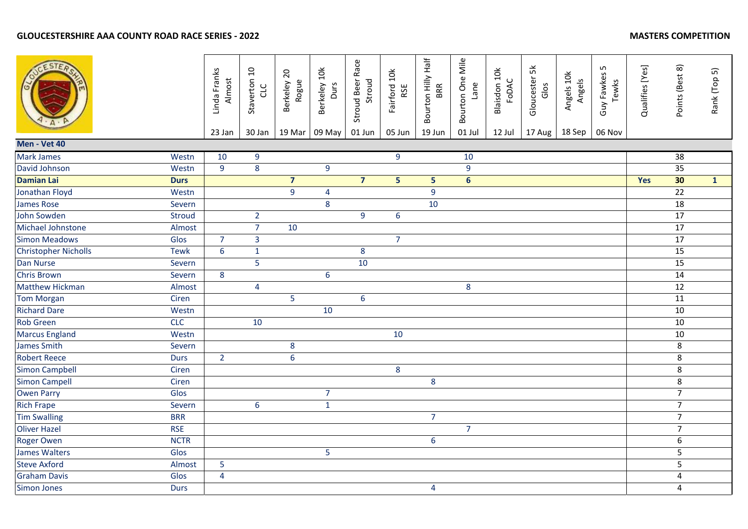|                             |               | Linda Franks<br>Almost<br>23 Jan | Staverton 10<br>CLC<br>30 Jan | Berkeley 20<br>Rogue<br>19 Mar | Berkeley 10k<br>Durs<br>09 May | Stroud Beer Race<br>Stroud<br>01 Jun | Fairford 10k<br>RSE<br>05 Jun | Bourton Hilly Half<br>BRR<br>19 Jun | Bourton One Mile<br>Lane<br>01 Jul | Blaisdon 10k<br>FODAC<br>12 Jul | Gloucester 5k<br>Glos<br>17 Aug | Angels 10k<br>Angels<br>18 Sep | Guy Fawkes 5<br>Tewks<br>06 Nov | Qualifies [Yes] | Points (Best 8) | Rank (Top 5) |
|-----------------------------|---------------|----------------------------------|-------------------------------|--------------------------------|--------------------------------|--------------------------------------|-------------------------------|-------------------------------------|------------------------------------|---------------------------------|---------------------------------|--------------------------------|---------------------------------|-----------------|-----------------|--------------|
| Men - Vet 40                |               |                                  |                               |                                |                                |                                      |                               |                                     |                                    |                                 |                                 |                                |                                 |                 |                 |              |
| <b>Mark James</b>           | Westn         | 10                               | 9                             |                                |                                |                                      | 9                             |                                     | 10                                 |                                 |                                 |                                |                                 |                 | $\overline{38}$ |              |
| David Johnson               | Westn         | 9                                | 8                             |                                | $\overline{9}$                 |                                      |                               |                                     | 9                                  |                                 |                                 |                                |                                 |                 | 35              |              |
| <b>Damian Lai</b>           | <b>Durs</b>   |                                  |                               | $\overline{7}$                 |                                | $\overline{7}$                       | 5                             | 5                                   | $6\phantom{a}$                     |                                 |                                 |                                |                                 | Yes             | 30              | $\mathbf{1}$ |
| Jonathan Floyd              | Westn         |                                  |                               | $\overline{9}$                 | $\overline{4}$                 |                                      |                               | 9                                   |                                    |                                 |                                 |                                |                                 |                 | 22              |              |
| <b>James Rose</b>           | Severn        |                                  |                               |                                | $\bf 8$                        |                                      |                               | 10                                  |                                    |                                 |                                 |                                |                                 |                 | $\overline{18}$ |              |
| <b>John Sowden</b>          | <b>Stroud</b> |                                  | $\overline{2}$                |                                |                                | 9                                    | 6                             |                                     |                                    |                                 |                                 |                                |                                 |                 | 17              |              |
| Michael Johnstone           | Almost        |                                  | $\overline{7}$                | 10                             |                                |                                      |                               |                                     |                                    |                                 |                                 |                                |                                 |                 | 17              |              |
| <b>Simon Meadows</b>        | Glos          | $\overline{7}$                   | $\overline{3}$                |                                |                                |                                      | $\overline{7}$                |                                     |                                    |                                 |                                 |                                |                                 |                 | 17              |              |
| <b>Christopher Nicholls</b> | <b>Tewk</b>   | $6\,$                            | $\mathbf{1}$                  |                                |                                | $\bf 8$                              |                               |                                     |                                    |                                 |                                 |                                |                                 |                 | 15              |              |
| Dan Nurse                   | Severn        |                                  | $\overline{5}$                |                                |                                | 10                                   |                               |                                     |                                    |                                 |                                 |                                |                                 |                 | 15              |              |
| <b>Chris Brown</b>          | Severn        | 8                                |                               |                                | $\boldsymbol{6}$               |                                      |                               |                                     |                                    |                                 |                                 |                                |                                 |                 | 14              |              |
| <b>Matthew Hickman</b>      | Almost        |                                  | $\overline{4}$                |                                |                                |                                      |                               |                                     | 8                                  |                                 |                                 |                                |                                 |                 | 12              |              |
| <b>Tom Morgan</b>           | Ciren         |                                  |                               | 5                              |                                | $6\phantom{a}$                       |                               |                                     |                                    |                                 |                                 |                                |                                 |                 | 11              |              |
| <b>Richard Dare</b>         | Westn         |                                  |                               |                                | 10                             |                                      |                               |                                     |                                    |                                 |                                 |                                |                                 |                 | 10              |              |
| <b>Rob Green</b>            | <b>CLC</b>    |                                  | 10                            |                                |                                |                                      |                               |                                     |                                    |                                 |                                 |                                |                                 |                 | 10              |              |
| <b>Marcus England</b>       | Westn         |                                  |                               |                                |                                |                                      | 10                            |                                     |                                    |                                 |                                 |                                |                                 |                 | 10              |              |
| <b>James Smith</b>          | Severn        |                                  |                               | 8                              |                                |                                      |                               |                                     |                                    |                                 |                                 |                                |                                 |                 | 8               |              |
| <b>Robert Reece</b>         | <b>Durs</b>   | $\overline{2}$                   |                               | 6                              |                                |                                      |                               |                                     |                                    |                                 |                                 |                                |                                 |                 | 8               |              |
| <b>Simon Campbell</b>       | Ciren         |                                  |                               |                                |                                |                                      | 8                             |                                     |                                    |                                 |                                 |                                |                                 |                 | 8               |              |
| <b>Simon Campell</b>        | Ciren         |                                  |                               |                                |                                |                                      |                               | $\bf 8$                             |                                    |                                 |                                 |                                |                                 |                 | $\,8\,$         |              |
| <b>Owen Parry</b>           | Glos          |                                  |                               |                                | $\overline{7}$                 |                                      |                               |                                     |                                    |                                 |                                 |                                |                                 |                 | $\overline{7}$  |              |
| <b>Rich Frape</b>           | Severn        |                                  | $6\phantom{a}$                |                                | $\mathbf 1$                    |                                      |                               |                                     |                                    |                                 |                                 |                                |                                 |                 | $\overline{7}$  |              |
| <b>Tim Swalling</b>         | <b>BRR</b>    |                                  |                               |                                |                                |                                      |                               | $\overline{7}$                      |                                    |                                 |                                 |                                |                                 |                 | $\overline{7}$  |              |
| <b>Oliver Hazel</b>         | <b>RSE</b>    |                                  |                               |                                |                                |                                      |                               |                                     | $\overline{7}$                     |                                 |                                 |                                |                                 |                 | $\overline{7}$  |              |
| <b>Roger Owen</b>           | <b>NCTR</b>   |                                  |                               |                                |                                |                                      |                               | $6\,$                               |                                    |                                 |                                 |                                |                                 |                 | 6               |              |
| <b>James Walters</b>        | Glos          |                                  |                               |                                | 5                              |                                      |                               |                                     |                                    |                                 |                                 |                                |                                 |                 | 5               |              |
| <b>Steve Axford</b>         | Almost        | 5                                |                               |                                |                                |                                      |                               |                                     |                                    |                                 |                                 |                                |                                 |                 | 5               |              |
| <b>Graham Davis</b>         | Glos          | $\overline{4}$                   |                               |                                |                                |                                      |                               |                                     |                                    |                                 |                                 |                                |                                 |                 | $\overline{4}$  |              |
| <b>Simon Jones</b>          | <b>Durs</b>   |                                  |                               |                                |                                |                                      |                               | $\overline{4}$                      |                                    |                                 |                                 |                                |                                 |                 | $\overline{4}$  |              |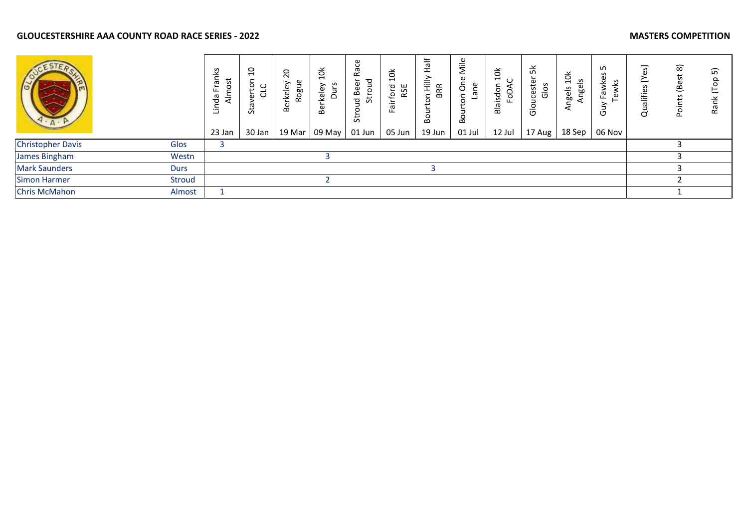|                          |             | .<br>U<br>₫<br><br>ᡕᢐ<br>₹<br>$\overline{\mathbf{c}}$<br>23 Jan | $\overline{a}$<br>S,<br>ិយ<br>ω<br>ಕ<br>30 Jan | 20<br>Rogue<br>Berkeley<br>19 Mar | $\frac{1}{2}$<br>ທ<br>keley<br>Dur<br>∼<br>Be<br>09 May | ≃<br>꽁<br>Φ<br>ē.<br>$\circ$<br>ى<br>g<br>Ù.<br>55<br>01 Jun | ă<br>$\overline{\phantom{0}}$<br>ਠ<br>RSE<br>┶<br>ڡ<br>=.<br>ത<br>ட<br>05 Jun | 嵩<br>工<br>≻<br>≘<br><b>BRR</b><br>$\circ$<br>മ<br>19 Jun | Mile<br>ω<br><u>ی</u><br>O<br>ത<br>ē.<br>01 Jul | $\frac{1}{2}$<br>sdon<br>≏<br>C<br>$\cdot$ $-$<br>Bla<br>12 Jul | 멎<br>ester<br>Glos<br>Ō<br>$\frac{6}{5}$<br>17 Aug | $\frac{1}{2}$<br>Angels<br>gels<br>$\overline{a}$<br>18 Sep | ഹ<br>ທ<br>ତି<br>wks<br>Faw<br>F<br>$\omega$<br>ம<br>06 Nov | හු<br>Qualifies | $\widehat{\infty}$<br>(Bes<br>௨ | 5<br>$\epsilon$<br>Ě<br>Rã |
|--------------------------|-------------|-----------------------------------------------------------------|------------------------------------------------|-----------------------------------|---------------------------------------------------------|--------------------------------------------------------------|-------------------------------------------------------------------------------|----------------------------------------------------------|-------------------------------------------------|-----------------------------------------------------------------|----------------------------------------------------|-------------------------------------------------------------|------------------------------------------------------------|-----------------|---------------------------------|----------------------------|
| <b>Christopher Davis</b> | Glos        |                                                                 |                                                |                                   |                                                         |                                                              |                                                                               |                                                          |                                                 |                                                                 |                                                    |                                                             |                                                            |                 |                                 |                            |
| James Bingham            | Westn       |                                                                 |                                                |                                   | э                                                       |                                                              |                                                                               |                                                          |                                                 |                                                                 |                                                    |                                                             |                                                            |                 |                                 |                            |
| <b>Mark Saunders</b>     | <b>Durs</b> |                                                                 |                                                |                                   |                                                         |                                                              |                                                                               |                                                          |                                                 |                                                                 |                                                    |                                                             |                                                            |                 |                                 |                            |
| <b>Simon Harmer</b>      | Stroud      |                                                                 |                                                |                                   |                                                         |                                                              |                                                                               |                                                          |                                                 |                                                                 |                                                    |                                                             |                                                            |                 |                                 |                            |
| Chris McMahon            | Almost      |                                                                 |                                                |                                   |                                                         |                                                              |                                                                               |                                                          |                                                 |                                                                 |                                                    |                                                             |                                                            |                 |                                 |                            |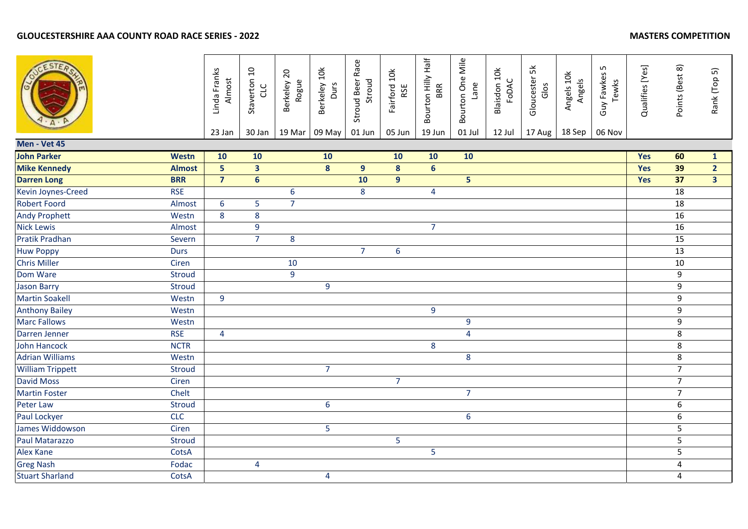|                         |               | Linda Franks<br>Almost<br>23 Jan | Staverton 10<br>CLC<br>30 Jan | Berkeley 20<br>Rogue<br>19 Mar | Berkeley 10k<br>Durs<br>09 May | Stroud Beer Race<br>Stroud<br>01 Jun | Fairford 10k<br>RSE<br>05 Jun | Bourton Hilly Half<br>BRR<br>19 Jun | Bourton One Mile<br>Lane<br>01 Jul | Blaisdon 10k<br>FODAC<br>12 Jul | Gloucester 5k<br>Glos<br>17 Aug | Angels 10k<br>Angels<br>18 Sep | Guy Fawkes 5<br>Tewks<br>06 Nov | Qualifies [Yes] | Points (Best 8)  | Rank (Top 5)   |
|-------------------------|---------------|----------------------------------|-------------------------------|--------------------------------|--------------------------------|--------------------------------------|-------------------------------|-------------------------------------|------------------------------------|---------------------------------|---------------------------------|--------------------------------|---------------------------------|-----------------|------------------|----------------|
| Men - Vet 45            |               |                                  |                               |                                |                                |                                      |                               |                                     |                                    |                                 |                                 |                                |                                 |                 |                  |                |
| <b>John Parker</b>      | <b>Westn</b>  | 10                               | 10                            |                                | 10                             |                                      | 10                            | 10                                  | 10                                 |                                 |                                 |                                |                                 | <b>Yes</b>      | 60               | $\mathbf{1}$   |
| <b>Mike Kennedy</b>     | <b>Almost</b> | 5 <sup>1</sup>                   | $\overline{\mathbf{3}}$       |                                | $\boldsymbol{8}$               | $\overline{9}$                       | 8                             | $6\phantom{1}$                      |                                    |                                 |                                 |                                |                                 | Yes             | 39               | 2 <sup>1</sup> |
| <b>Darren Long</b>      | <b>BRR</b>    | $\overline{7}$                   | $6\phantom{a}$                |                                |                                | 10                                   | 9 <sup>°</sup>                |                                     | $\overline{\mathbf{5}}$            |                                 |                                 |                                |                                 | Yes             | 37               | 3 <sup>7</sup> |
| Kevin Joynes-Creed      | <b>RSE</b>    |                                  |                               | 6                              |                                | 8                                    |                               | 4                                   |                                    |                                 |                                 |                                |                                 |                 | 18               |                |
| <b>Robert Foord</b>     | Almost        | $6\phantom{1}$                   | 5                             | $\overline{7}$                 |                                |                                      |                               |                                     |                                    |                                 |                                 |                                |                                 |                 | 18               |                |
| <b>Andy Prophett</b>    | Westn         | 8                                | 8                             |                                |                                |                                      |                               |                                     |                                    |                                 |                                 |                                |                                 |                 | 16               |                |
| <b>Nick Lewis</b>       | Almost        |                                  | 9                             |                                |                                |                                      |                               | $\overline{7}$                      |                                    |                                 |                                 |                                |                                 |                 | 16               |                |
| Pratik Pradhan          | Severn        |                                  | $\overline{7}$                | 8                              |                                |                                      |                               |                                     |                                    |                                 |                                 |                                |                                 |                 | 15               |                |
| <b>Huw Poppy</b>        | <b>Durs</b>   |                                  |                               |                                |                                | $\overline{7}$                       | $6\phantom{a}$                |                                     |                                    |                                 |                                 |                                |                                 |                 | 13               |                |
| <b>Chris Miller</b>     | Ciren         |                                  |                               | 10                             |                                |                                      |                               |                                     |                                    |                                 |                                 |                                |                                 |                 | 10               |                |
| Dom Ware                | <b>Stroud</b> |                                  |                               | $\overline{9}$                 |                                |                                      |                               |                                     |                                    |                                 |                                 |                                |                                 |                 | $\boldsymbol{9}$ |                |
| <b>Jason Barry</b>      | <b>Stroud</b> |                                  |                               |                                | 9                              |                                      |                               |                                     |                                    |                                 |                                 |                                |                                 |                 | 9                |                |
| <b>Martin Soakell</b>   | Westn         | 9                                |                               |                                |                                |                                      |                               |                                     |                                    |                                 |                                 |                                |                                 |                 | 9                |                |
| <b>Anthony Bailey</b>   | Westn         |                                  |                               |                                |                                |                                      |                               | 9                                   |                                    |                                 |                                 |                                |                                 |                 | $\boldsymbol{9}$ |                |
| <b>Marc Fallows</b>     | Westn         |                                  |                               |                                |                                |                                      |                               |                                     | $9\,$                              |                                 |                                 |                                |                                 |                 | $\boldsymbol{9}$ |                |
| Darren Jenner           | <b>RSE</b>    | $\overline{4}$                   |                               |                                |                                |                                      |                               |                                     | $\overline{4}$                     |                                 |                                 |                                |                                 |                 | 8                |                |
| <b>John Hancock</b>     | <b>NCTR</b>   |                                  |                               |                                |                                |                                      |                               | 8                                   |                                    |                                 |                                 |                                |                                 |                 | 8                |                |
| <b>Adrian Williams</b>  | Westn         |                                  |                               |                                |                                |                                      |                               |                                     | 8                                  |                                 |                                 |                                |                                 |                 | $\bf 8$          |                |
| <b>William Trippett</b> | <b>Stroud</b> |                                  |                               |                                | $\overline{7}$                 |                                      |                               |                                     |                                    |                                 |                                 |                                |                                 |                 | $\overline{7}$   |                |
| <b>David Moss</b>       | Ciren         |                                  |                               |                                |                                |                                      | $\overline{7}$                |                                     |                                    |                                 |                                 |                                |                                 |                 | $\overline{7}$   |                |
| Martin Foster           | Chelt         |                                  |                               |                                |                                |                                      |                               |                                     | $\overline{7}$                     |                                 |                                 |                                |                                 |                 | $\overline{7}$   |                |
| Peter Law               | Stroud        |                                  |                               |                                | 6                              |                                      |                               |                                     |                                    |                                 |                                 |                                |                                 |                 | 6                |                |
| Paul Lockyer            | <b>CLC</b>    |                                  |                               |                                |                                |                                      |                               |                                     | $\boldsymbol{6}$                   |                                 |                                 |                                |                                 |                 | 6                |                |
| James Widdowson         | Ciren         |                                  |                               |                                | $\overline{5}$                 |                                      |                               |                                     |                                    |                                 |                                 |                                |                                 |                 | 5                |                |
| Paul Matarazzo          | <b>Stroud</b> |                                  |                               |                                |                                |                                      | 5                             |                                     |                                    |                                 |                                 |                                |                                 |                 | 5                |                |
| <b>Alex Kane</b>        | CotsA         |                                  |                               |                                |                                |                                      |                               | 5                                   |                                    |                                 |                                 |                                |                                 |                 | 5                |                |
| <b>Greg Nash</b>        | Fodac         |                                  | $\overline{\mathbf{4}}$       |                                |                                |                                      |                               |                                     |                                    |                                 |                                 |                                |                                 |                 | 4                |                |
| <b>Stuart Sharland</b>  | CotsA         |                                  |                               |                                | 4                              |                                      |                               |                                     |                                    |                                 |                                 |                                |                                 |                 | 4                |                |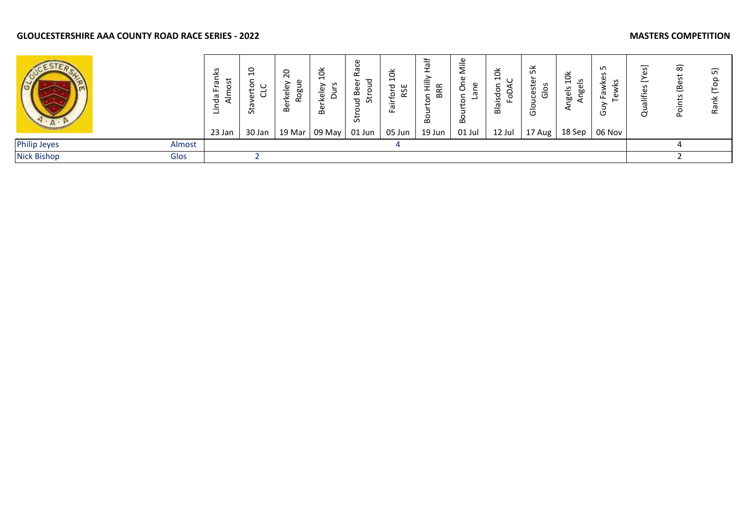|                     |        | S<br>π<br>π<br>ञ<br>23 Jan | $\overline{c}$<br>ω<br>5<br>30 Jan | $\circ$<br>$\sim$<br>$\mathbf{\Omega}$<br>19 Mar | ă<br>⊣<br>٥<br>$\overline{\Phi}$<br>മ<br>09 May | $\propto$<br>മ<br>ਦੂ<br>ഗ<br>්<br>01 Jun | ᆸ<br>ш<br>κS<br>05 Jun | ┶<br>ത<br>മ<br>മ<br>19 Jun | ω<br>≔<br>$\overline{ }$<br>⋍<br>c<br>BO<br>01 Jul | ă<br>$\overline{\phantom{0}}$<br>ᅙ<br>12 Jul | 꽂<br>S<br>est<br>Ö<br>$\bar{\sigma}$<br>Ō<br>≚<br>ט<br>17 Aug $ $ | ≚<br>$\circ$<br>≗<br>$\overline{\phantom{0}}$<br>gels<br>ğ۵<br>∼<br>18 Sep | ഗ<br>O<br>06 Nov | __<br>C | ౚ | <u>ົດ</u><br>⊻<br>ᡕᢐ<br>$\propto$ |
|---------------------|--------|----------------------------|------------------------------------|--------------------------------------------------|-------------------------------------------------|------------------------------------------|------------------------|----------------------------|----------------------------------------------------|----------------------------------------------|-------------------------------------------------------------------|----------------------------------------------------------------------------|------------------|---------|---|-----------------------------------|
| <b>Philip Jeyes</b> | Almost |                            |                                    |                                                  |                                                 |                                          |                        |                            |                                                    |                                              |                                                                   |                                                                            |                  |         |   |                                   |
| <b>Nick Bishop</b>  | Glos   |                            |                                    |                                                  |                                                 |                                          |                        |                            |                                                    |                                              |                                                                   |                                                                            |                  |         |   |                                   |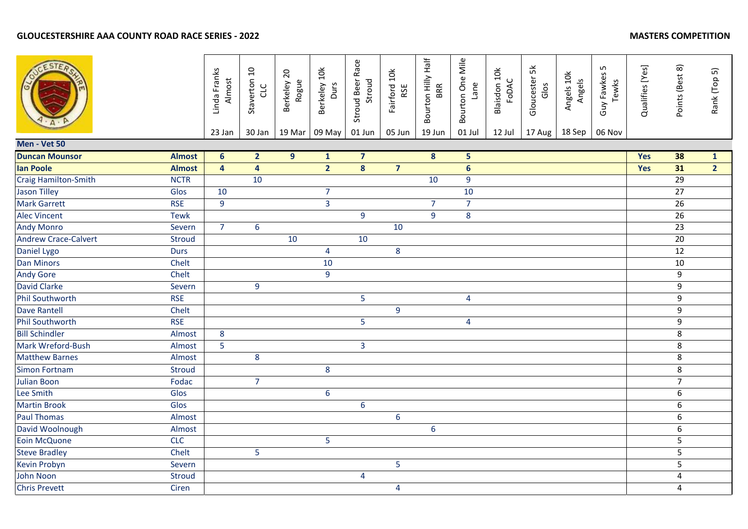|                             |               | Linda Franks<br>Almost<br>23 Jan | Staverton 10<br>CLC<br>30 Jan | Berkeley 20<br>Rogue<br>19 Mar | Berkeley 10k<br>Durs<br>09 May | Stroud Beer Race<br>Stroud<br>01 Jun | Fairford 10k<br>RSE<br>05 Jun | Bourton Hilly Half<br>BRR<br>19 Jun | Bourton One Mile<br>Lane<br>01 Jul | Blaisdon 10k<br>FODAC<br>12 Jul | Gloucester 5k<br>Glos<br>17 Aug | Angels 10k<br>Angels<br>18 Sep | Guy Fawkes 5<br>Tewks<br>06 Nov | Qualifies [Yes] | Points (Best 8)  | Rank (Top 5)   |
|-----------------------------|---------------|----------------------------------|-------------------------------|--------------------------------|--------------------------------|--------------------------------------|-------------------------------|-------------------------------------|------------------------------------|---------------------------------|---------------------------------|--------------------------------|---------------------------------|-----------------|------------------|----------------|
| Men - Vet 50                |               |                                  |                               |                                |                                |                                      |                               |                                     |                                    |                                 |                                 |                                |                                 |                 |                  |                |
| <b>Duncan Mounsor</b>       | <b>Almost</b> | 6 <sup>1</sup>                   | 2 <sup>1</sup>                | $\overline{9}$                 | $\mathbf{1}$                   | $\overline{7}$                       |                               | $\boldsymbol{8}$                    | 5                                  |                                 |                                 |                                |                                 | Yes             | 38               | $\mathbf{1}$   |
| <b>Ian Poole</b>            | <b>Almost</b> | $\overline{\mathbf{4}}$          | $\overline{\mathbf{4}}$       |                                | $\overline{2}$                 | 8                                    | $\overline{7}$                |                                     | $6\phantom{a}$                     |                                 |                                 |                                |                                 | Yes             | 31               | $\overline{2}$ |
| Craig Hamilton-Smith        | <b>NCTR</b>   |                                  | 10                            |                                |                                |                                      |                               | 10                                  | 9                                  |                                 |                                 |                                |                                 |                 | $\overline{29}$  |                |
| <b>Jason Tilley</b>         | Glos          | 10                               |                               |                                | $\overline{7}$                 |                                      |                               |                                     | 10                                 |                                 |                                 |                                |                                 |                 | 27               |                |
| <b>Mark Garrett</b>         | <b>RSE</b>    | 9                                |                               |                                | $\overline{3}$                 |                                      |                               | $\overline{7}$                      | $\overline{7}$                     |                                 |                                 |                                |                                 |                 | 26               |                |
| <b>Alec Vincent</b>         | <b>Tewk</b>   |                                  |                               |                                |                                | 9                                    |                               | $\overline{9}$                      | 8                                  |                                 |                                 |                                |                                 |                 | 26               |                |
| <b>Andy Monro</b>           | Severn        | $\overline{7}$                   | 6                             |                                |                                |                                      | 10                            |                                     |                                    |                                 |                                 |                                |                                 |                 | 23               |                |
| <b>Andrew Crace-Calvert</b> | <b>Stroud</b> |                                  |                               | 10                             |                                | 10                                   |                               |                                     |                                    |                                 |                                 |                                |                                 |                 | $\overline{20}$  |                |
| Daniel Lygo                 | <b>Durs</b>   |                                  |                               |                                | $\overline{4}$                 |                                      | 8                             |                                     |                                    |                                 |                                 |                                |                                 |                 | 12               |                |
| <b>Dan Minors</b>           | Chelt         |                                  |                               |                                | 10                             |                                      |                               |                                     |                                    |                                 |                                 |                                |                                 |                 | 10               |                |
| <b>Andy Gore</b>            | Chelt         |                                  |                               |                                | $\overline{9}$                 |                                      |                               |                                     |                                    |                                 |                                 |                                |                                 |                 | 9                |                |
| <b>David Clarke</b>         | Severn        |                                  | 9                             |                                |                                |                                      |                               |                                     |                                    |                                 |                                 |                                |                                 |                 | $\mathsf g$      |                |
| <b>Phil Southworth</b>      | <b>RSE</b>    |                                  |                               |                                |                                | 5                                    |                               |                                     | $\overline{4}$                     |                                 |                                 |                                |                                 |                 | $\boldsymbol{9}$ |                |
| <b>Dave Rantell</b>         | Chelt         |                                  |                               |                                |                                |                                      | 9                             |                                     |                                    |                                 |                                 |                                |                                 |                 | 9                |                |
| <b>Phil Southworth</b>      | <b>RSE</b>    |                                  |                               |                                |                                | 5                                    |                               |                                     | $\overline{4}$                     |                                 |                                 |                                |                                 |                 | 9                |                |
| <b>Bill Schindler</b>       | Almost        | 8                                |                               |                                |                                |                                      |                               |                                     |                                    |                                 |                                 |                                |                                 |                 | 8                |                |
| Mark Wreford-Bush           | Almost        | 5                                |                               |                                |                                | 3                                    |                               |                                     |                                    |                                 |                                 |                                |                                 |                 | 8                |                |
| <b>Matthew Barnes</b>       | Almost        |                                  | 8                             |                                |                                |                                      |                               |                                     |                                    |                                 |                                 |                                |                                 |                 | 8                |                |
| <b>Simon Fortnam</b>        | <b>Stroud</b> |                                  |                               |                                | $\bf 8$                        |                                      |                               |                                     |                                    |                                 |                                 |                                |                                 |                 | $\,8\,$          |                |
| <b>Julian Boon</b>          | Fodac         |                                  | $\overline{7}$                |                                |                                |                                      |                               |                                     |                                    |                                 |                                 |                                |                                 |                 | $\overline{7}$   |                |
| Lee Smith                   | Glos          |                                  |                               |                                | $\boldsymbol{6}$               |                                      |                               |                                     |                                    |                                 |                                 |                                |                                 |                 | $\boldsymbol{6}$ |                |
| <b>Martin Brook</b>         | Glos          |                                  |                               |                                |                                | 6                                    |                               |                                     |                                    |                                 |                                 |                                |                                 |                 | $\boldsymbol{6}$ |                |
| <b>Paul Thomas</b>          | Almost        |                                  |                               |                                |                                |                                      | 6                             |                                     |                                    |                                 |                                 |                                |                                 |                 | 6                |                |
| David Woolnough             | Almost        |                                  |                               |                                |                                |                                      |                               | $6\,$                               |                                    |                                 |                                 |                                |                                 |                 | $\boldsymbol{6}$ |                |
| Eoin McQuone                | <b>CLC</b>    |                                  |                               |                                | 5                              |                                      |                               |                                     |                                    |                                 |                                 |                                |                                 |                 | 5                |                |
| <b>Steve Bradley</b>        | Chelt         |                                  | 5                             |                                |                                |                                      |                               |                                     |                                    |                                 |                                 |                                |                                 |                 | 5                |                |
| <b>Kevin Probyn</b>         | Severn        |                                  |                               |                                |                                |                                      | 5                             |                                     |                                    |                                 |                                 |                                |                                 |                 | 5                |                |
| John Noon                   | <b>Stroud</b> |                                  |                               |                                |                                | 4                                    |                               |                                     |                                    |                                 |                                 |                                |                                 |                 | $\overline{4}$   |                |
| <b>Chris Prevett</b>        | Ciren         |                                  |                               |                                |                                |                                      | 4                             |                                     |                                    |                                 |                                 |                                |                                 |                 | 4                |                |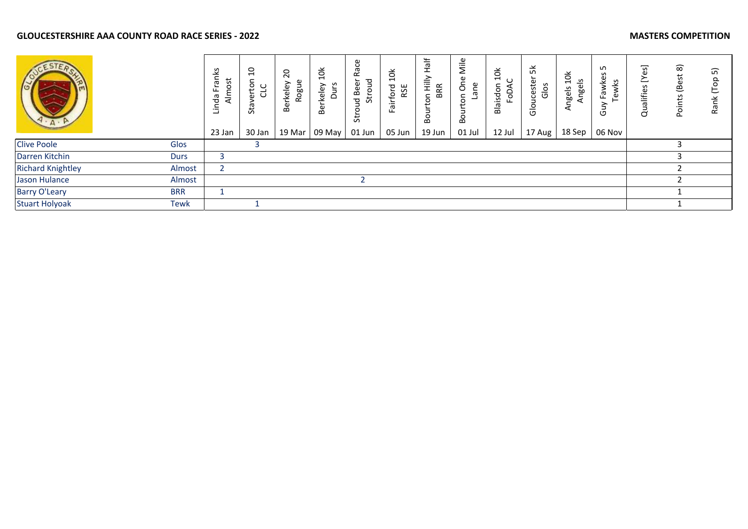|                          |             | ě<br>iost<br>ω<br>ட<br>늦<br>ਠ<br>э<br>23 Jan | $\overline{a}$<br>$\overline{5}$<br>◡<br>৯<br>Sta<br>30 Jan | $\overline{c}$<br>Rogue<br><b>Berkeley</b><br>19 Mar | $\breve{\mathsf{B}}$<br>ഗ<br>rkeley<br>Dur:<br>Be<br>09 May | ပ္ပ<br>Ř<br>pno<br>Beer<br>노<br>$\mathbf{B}$<br>û<br>$\circ$<br>5t<br>01 Jun | $\frac{1}{2}$<br>ford<br>RSE<br>Fair<br>05 Jun | 능<br>$\frac{\ge}{11}$<br><b>BRR</b><br>5<br>⊃<br>ē.<br>19 Jun | Mile<br>$\mathbf \omega$<br>δ<br>ane<br>Bou<br>01 Jul | $\vec{p}$<br>Blaisdon<br>Ğ<br>12 Jul | 멎<br>cester<br>Glos<br>Glo<br>17 Aug | 10k<br>Angels<br>Angels<br>18 Sep | ഗ<br>S<br>Fawkes<br>wks<br>$\omega$<br>יט<br>06 Nov | ဒ္ဓ<br>Qualifies | $\widehat{\infty}$<br>3<br>ق<br>Ōq | 5<br>$\frac{8}{100}$<br>Rank |
|--------------------------|-------------|----------------------------------------------|-------------------------------------------------------------|------------------------------------------------------|-------------------------------------------------------------|------------------------------------------------------------------------------|------------------------------------------------|---------------------------------------------------------------|-------------------------------------------------------|--------------------------------------|--------------------------------------|-----------------------------------|-----------------------------------------------------|------------------|------------------------------------|------------------------------|
| <b>Clive Poole</b>       | Glos        |                                              |                                                             |                                                      |                                                             |                                                                              |                                                |                                                               |                                                       |                                      |                                      |                                   |                                                     |                  |                                    |                              |
| Darren Kitchin           | <b>Durs</b> |                                              |                                                             |                                                      |                                                             |                                                                              |                                                |                                                               |                                                       |                                      |                                      |                                   |                                                     |                  |                                    |                              |
| <b>Richard Knightley</b> | Almost      | n,                                           |                                                             |                                                      |                                                             |                                                                              |                                                |                                                               |                                                       |                                      |                                      |                                   |                                                     |                  |                                    |                              |
| Jason Hulance            | Almost      |                                              |                                                             |                                                      |                                                             |                                                                              |                                                |                                                               |                                                       |                                      |                                      |                                   |                                                     |                  |                                    |                              |
| Barry O'Leary            | <b>BRR</b>  |                                              |                                                             |                                                      |                                                             |                                                                              |                                                |                                                               |                                                       |                                      |                                      |                                   |                                                     |                  |                                    |                              |
| <b>Stuart Holyoak</b>    | Tewk        |                                              |                                                             |                                                      |                                                             |                                                                              |                                                |                                                               |                                                       |                                      |                                      |                                   |                                                     |                  |                                    |                              |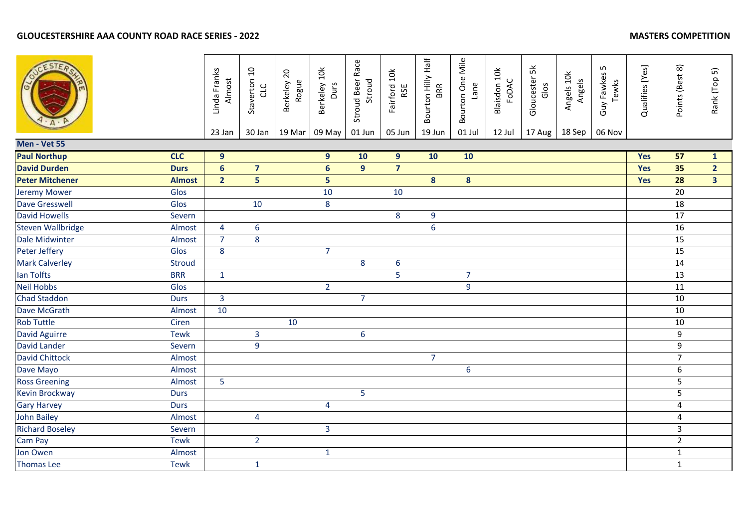|                          |               | Linda Franks<br>Almost | Staverton 10<br>CLC     | Berkeley 20<br>Rogue | Berkeley 10k<br>Durs | Stroud Beer Race<br>Stroud | Fairford 10k<br>RSE | Bourton Hilly Half<br>BRR | Bourton One Mile<br>Lane | Blaisdon 10k<br>FODAC | Gloucester 5k<br>Glos | Angels 10k<br>Angels | Guy Fawkes 5<br>Tewks | Qualifies [Yes] | Points (Best 8) | Rank (Top 5)   |
|--------------------------|---------------|------------------------|-------------------------|----------------------|----------------------|----------------------------|---------------------|---------------------------|--------------------------|-----------------------|-----------------------|----------------------|-----------------------|-----------------|-----------------|----------------|
| Men - Vet 55             |               | 23 Jan                 | 30 Jan                  | 19 Mar               | 09 May               | 01 Jun                     | 05 Jun              | 19 Jun                    | 01 Jul                   | 12 Jul                | 17 Aug                | 18 Sep               | 06 Nov                |                 |                 |                |
| <b>Paul Northup</b>      | CLC           | $9$                    |                         |                      | 9                    | 10                         | 9 <sup>°</sup>      | 10                        | 10                       |                       |                       |                      |                       | Yes             | 57              | $\mathbf{1}$   |
| <b>David Durden</b>      | <b>Durs</b>   | $6\phantom{a}$         | $\overline{7}$          |                      | $6\phantom{1}$       | 9 <sup>°</sup>             | $\overline{7}$      |                           |                          |                       |                       |                      |                       | Yes             | 35              | $\overline{2}$ |
| <b>Peter Mitchener</b>   | <b>Almost</b> | $\overline{2}$         | 5                       |                      | 5                    |                            |                     | 8                         | 8                        |                       |                       |                      |                       | Yes             | 28              | 3 <sup>1</sup> |
| <b>Jeremy Mower</b>      | Glos          |                        |                         |                      | 10                   |                            | 10                  |                           |                          |                       |                       |                      |                       |                 | 20              |                |
| <b>Dave Gresswell</b>    | Glos          |                        | 10                      |                      | 8                    |                            |                     |                           |                          |                       |                       |                      |                       |                 | 18              |                |
| <b>David Howells</b>     | Severn        |                        |                         |                      |                      |                            | 8                   | 9                         |                          |                       |                       |                      |                       |                 | 17              |                |
| <b>Steven Wallbridge</b> | Almost        | 4                      | $6\phantom{a}$          |                      |                      |                            |                     | 6                         |                          |                       |                       |                      |                       |                 | 16              |                |
| Dale Midwinter           | Almost        | $\overline{7}$         | 8                       |                      |                      |                            |                     |                           |                          |                       |                       |                      |                       |                 | 15              |                |
| Peter Jeffery            | Glos          | 8                      |                         |                      | $\overline{7}$       |                            |                     |                           |                          |                       |                       |                      |                       |                 | 15              |                |
| <b>Mark Calverley</b>    | <b>Stroud</b> |                        |                         |                      |                      | 8                          | 6                   |                           |                          |                       |                       |                      |                       |                 | 14              |                |
| lan Tolfts               | <b>BRR</b>    | $\mathbf{1}$           |                         |                      |                      |                            | 5                   |                           | $\overline{7}$           |                       |                       |                      |                       |                 | 13              |                |
| <b>Neil Hobbs</b>        | Glos          |                        |                         |                      | $\overline{2}$       |                            |                     |                           | $\overline{9}$           |                       |                       |                      |                       |                 | $\overline{11}$ |                |
| <b>Chad Staddon</b>      | <b>Durs</b>   | $\overline{3}$         |                         |                      |                      | $\overline{7}$             |                     |                           |                          |                       |                       |                      |                       |                 | 10              |                |
| Dave McGrath             | Almost        | 10                     |                         |                      |                      |                            |                     |                           |                          |                       |                       |                      |                       |                 | 10              |                |
| <b>Rob Tuttle</b>        | Ciren         |                        |                         | 10                   |                      |                            |                     |                           |                          |                       |                       |                      |                       |                 | 10              |                |
| <b>David Aguirre</b>     | <b>Tewk</b>   |                        | $\mathbf{3}$            |                      |                      | $6\phantom{a}$             |                     |                           |                          |                       |                       |                      |                       |                 | 9               |                |
| <b>David Lander</b>      | Severn        |                        | 9                       |                      |                      |                            |                     |                           |                          |                       |                       |                      |                       |                 | 9               |                |
| <b>David Chittock</b>    | Almost        |                        |                         |                      |                      |                            |                     | $\overline{7}$            |                          |                       |                       |                      |                       |                 | $\overline{7}$  |                |
| Dave Mayo                | Almost        |                        |                         |                      |                      |                            |                     |                           | 6                        |                       |                       |                      |                       |                 | 6               |                |
| <b>Ross Greening</b>     | Almost        | 5                      |                         |                      |                      |                            |                     |                           |                          |                       |                       |                      |                       |                 | 5               |                |
| Kevin Brockway           | <b>Durs</b>   |                        |                         |                      |                      | 5                          |                     |                           |                          |                       |                       |                      |                       |                 | 5               |                |
| <b>Gary Harvey</b>       | <b>Durs</b>   |                        |                         |                      | $\overline{4}$       |                            |                     |                           |                          |                       |                       |                      |                       |                 | 4               |                |
| <b>John Bailey</b>       | Almost        |                        | $\overline{\mathbf{4}}$ |                      |                      |                            |                     |                           |                          |                       |                       |                      |                       |                 | 4               |                |
| <b>Richard Boseley</b>   | Severn        |                        |                         |                      | $\overline{3}$       |                            |                     |                           |                          |                       |                       |                      |                       |                 | $\overline{3}$  |                |
| Cam Pay                  | <b>Tewk</b>   |                        | 2 <sup>1</sup>          |                      |                      |                            |                     |                           |                          |                       |                       |                      |                       |                 | $\overline{2}$  |                |
| Jon Owen                 | Almost        |                        |                         |                      | $\mathbf{1}$         |                            |                     |                           |                          |                       |                       |                      |                       |                 | $\mathbf 1$     |                |
| <b>Thomas Lee</b>        | <b>Tewk</b>   |                        | $\mathbf{1}$            |                      |                      |                            |                     |                           |                          |                       |                       |                      |                       |                 | $\mathbf{1}$    |                |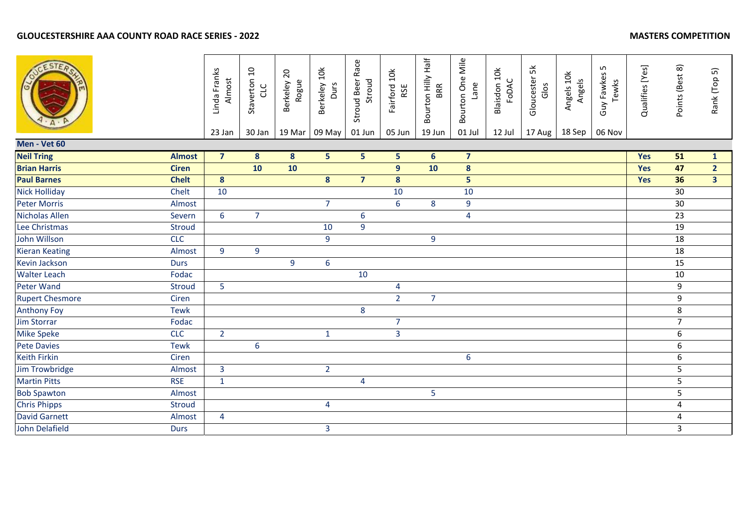# **GLOUCESTERSHIRE AAA COUNTY ROAD RACE SERIES - 2022**

|                        |               | Linda Franks<br>Almost | Staverton 10<br>CLC | Berkeley 20<br>Rogue | Berkeley 10k<br>Durs | Stroud Beer Race<br>Stroud | Fairford 10k<br>RSE | Bourton Hilly Half<br><b>BRR</b> | Bourton One Mile<br>Lane | Blaisdon 10k<br>FODAC | Gloucester 5k<br>Glos | Angels 10k<br>Angels | LN.<br>Guy Fawkes<br>Tewks | Qualifies [Yes] | Points (Best 8) | Rank (Top 5)   |
|------------------------|---------------|------------------------|---------------------|----------------------|----------------------|----------------------------|---------------------|----------------------------------|--------------------------|-----------------------|-----------------------|----------------------|----------------------------|-----------------|-----------------|----------------|
| Men - Vet 60           |               | 23 Jan                 | 30 Jan              | 19 Mar               | 09 May               | 01 Jun                     | 05 Jun              | 19 Jun                           | 01 Jul                   | 12 Jul                | 17 Aug                | 18 Sep               | 06 Nov                     |                 |                 |                |
| <b>Neil Tring</b>      | <b>Almost</b> | $\overline{7}$         | 8 <sup>°</sup>      | 8 <sup>°</sup>       | 5 <sub>5</sub>       | 5 <sub>1</sub>             | 5 <sub>1</sub>      | $6\phantom{1}6$                  | $\overline{\mathbf{7}}$  |                       |                       |                      |                            | Yes             | 51              | $\mathbf{1}$   |
| <b>Brian Harris</b>    | <b>Ciren</b>  |                        | 10                  | 10                   |                      |                            | 9                   | 10                               | $\boldsymbol{8}$         |                       |                       |                      |                            | Yes             | 47              | $\overline{2}$ |
| <b>Paul Barnes</b>     | <b>Chelt</b>  | $\boldsymbol{8}$       |                     |                      | $\boldsymbol{8}$     | $\overline{7}$             | 8                   |                                  | 5                        |                       |                       |                      |                            | Yes             | 36              | 3 <sup>7</sup> |
| <b>Nick Holliday</b>   | Chelt         | 10                     |                     |                      |                      |                            | 10                  |                                  | 10                       |                       |                       |                      |                            |                 | 30              |                |
| <b>Peter Morris</b>    | Almost        |                        |                     |                      | $\overline{7}$       |                            | 6                   | 8                                | $9\,$                    |                       |                       |                      |                            |                 | 30              |                |
| Nicholas Allen         | Severn        | 6                      | $\overline{7}$      |                      |                      | $6\phantom{a}$             |                     |                                  | $\overline{4}$           |                       |                       |                      |                            |                 | 23              |                |
| Lee Christmas          | Stroud        |                        |                     |                      | 10                   | 9                          |                     |                                  |                          |                       |                       |                      |                            |                 | 19              |                |
| <b>John Willson</b>    | <b>CLC</b>    |                        |                     |                      | $\overline{9}$       |                            |                     | 9                                |                          |                       |                       |                      |                            |                 | $\overline{18}$ |                |
| <b>Kieran Keating</b>  | Almost        | 9                      | 9                   |                      |                      |                            |                     |                                  |                          |                       |                       |                      |                            |                 | 18              |                |
| Kevin Jackson          | <b>Durs</b>   |                        |                     | 9                    | 6                    |                            |                     |                                  |                          |                       |                       |                      |                            |                 | 15              |                |
| <b>Walter Leach</b>    | Fodac         |                        |                     |                      |                      | 10                         |                     |                                  |                          |                       |                       |                      |                            |                 | 10              |                |
| Peter Wand             | Stroud        | 5                      |                     |                      |                      |                            | 4                   |                                  |                          |                       |                       |                      |                            |                 | 9               |                |
| <b>Rupert Chesmore</b> | Ciren         |                        |                     |                      |                      |                            | 2 <sup>1</sup>      | $\overline{7}$                   |                          |                       |                       |                      |                            |                 | 9               |                |
| <b>Anthony Foy</b>     | <b>Tewk</b>   |                        |                     |                      |                      | 8                          |                     |                                  |                          |                       |                       |                      |                            |                 | 8               |                |
| <b>Jim Storrar</b>     | Fodac         |                        |                     |                      |                      |                            | $\overline{7}$      |                                  |                          |                       |                       |                      |                            |                 | $\overline{7}$  |                |
| <b>Mike Speke</b>      | <b>CLC</b>    | $\overline{2}$         |                     |                      | $\mathbf{1}$         |                            | $\overline{3}$      |                                  |                          |                       |                       |                      |                            |                 | 6               |                |
| <b>Pete Davies</b>     | <b>Tewk</b>   |                        | $6\phantom{a}$      |                      |                      |                            |                     |                                  |                          |                       |                       |                      |                            |                 | 6               |                |
| <b>Keith Firkin</b>    | Ciren         |                        |                     |                      |                      |                            |                     |                                  | $\boldsymbol{6}$         |                       |                       |                      |                            |                 | 6               |                |
| Jim Trowbridge         | Almost        | $\overline{3}$         |                     |                      | $\overline{2}$       |                            |                     |                                  |                          |                       |                       |                      |                            |                 | 5               |                |
| <b>Martin Pitts</b>    | <b>RSE</b>    | $\mathbf{1}$           |                     |                      |                      | $\overline{4}$             |                     |                                  |                          |                       |                       |                      |                            |                 | 5               |                |
| <b>Bob Spawton</b>     | Almost        |                        |                     |                      |                      |                            |                     | 5                                |                          |                       |                       |                      |                            |                 | 5               |                |
| <b>Chris Phipps</b>    | <b>Stroud</b> |                        |                     |                      | 4                    |                            |                     |                                  |                          |                       |                       |                      |                            |                 | 4               |                |
| <b>David Garnett</b>   | Almost        | $\overline{4}$         |                     |                      |                      |                            |                     |                                  |                          |                       |                       |                      |                            |                 | 4               |                |
| John Delafield         | <b>Durs</b>   |                        |                     |                      | $\overline{3}$       |                            |                     |                                  |                          |                       |                       |                      |                            |                 | $\overline{3}$  |                |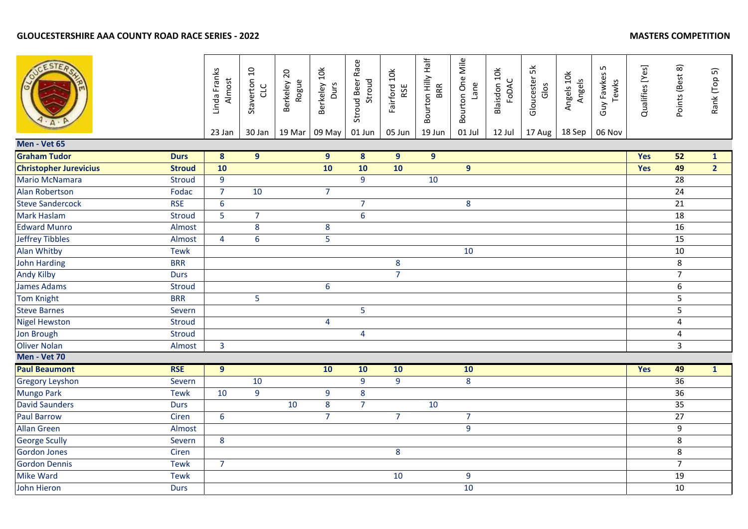|                               |               | Linda Franks<br>Almost<br>23 Jan | Staverton 10<br>CLC<br>30 Jan | Berkeley 20<br>Rogue<br>19 Mar | Berkeley 10k<br>Durs<br>09 May | Stroud Beer Race<br>Stroud<br>01 Jun | Fairford 10k<br>RSE<br>05 Jun | Bourton Hilly Half<br>19 Jun | Bourton One Mile<br>Lane<br>01 Jul | Blaisdon 10k<br>FODAC<br>12 Jul | Gloucester 5k<br>Glos<br>17 Aug | Angels 10k<br>Angels<br>18 Sep | Guy Fawkes 5<br>Tewks<br>06 Nov | Qualifies [Yes] | Points (Best 8) | Rank (Top 5)   |
|-------------------------------|---------------|----------------------------------|-------------------------------|--------------------------------|--------------------------------|--------------------------------------|-------------------------------|------------------------------|------------------------------------|---------------------------------|---------------------------------|--------------------------------|---------------------------------|-----------------|-----------------|----------------|
| Men - Vet 65                  |               |                                  |                               |                                |                                |                                      |                               |                              |                                    |                                 |                                 |                                |                                 |                 |                 |                |
| <b>Graham Tudor</b>           | <b>Durs</b>   | $\overline{\mathbf{8}}$          | $\overline{9}$                |                                | $\overline{9}$                 | $\overline{\mathbf{8}}$              | $\overline{9}$                | $\overline{9}$               |                                    |                                 |                                 |                                |                                 | Yes             | 52              | $\mathbf{1}$   |
| <b>Christopher Jurevicius</b> | <b>Stroud</b> | 10                               |                               |                                | 10                             | 10                                   | 10                            |                              | 9 <sup>°</sup>                     |                                 |                                 |                                |                                 | Yes             | 49              | $\overline{2}$ |
| Mario McNamara                | <b>Stroud</b> | 9                                |                               |                                |                                | 9                                    |                               | 10                           |                                    |                                 |                                 |                                |                                 |                 | 28              |                |
| <b>Alan Robertson</b>         | Fodac         | $\overline{7}$                   | 10                            |                                | $\overline{7}$                 |                                      |                               |                              |                                    |                                 |                                 |                                |                                 |                 | 24              |                |
| <b>Steve Sandercock</b>       | <b>RSE</b>    | $6\,$                            |                               |                                |                                | $\overline{7}$                       |                               |                              | 8                                  |                                 |                                 |                                |                                 |                 | 21              |                |
| Mark Haslam                   | <b>Stroud</b> | 5                                | $\overline{7}$                |                                |                                | $6\phantom{a}$                       |                               |                              |                                    |                                 |                                 |                                |                                 |                 | 18              |                |
| <b>Edward Munro</b>           | Almost        |                                  | 8                             |                                | 8                              |                                      |                               |                              |                                    |                                 |                                 |                                |                                 |                 | 16              |                |
| <b>Jeffrey Tibbles</b>        | Almost        | $\overline{4}$                   | $\overline{6}$                |                                | $\overline{5}$                 |                                      |                               |                              |                                    |                                 |                                 |                                |                                 |                 | 15              |                |
| <b>Alan Whitby</b>            | <b>Tewk</b>   |                                  |                               |                                |                                |                                      |                               |                              | 10                                 |                                 |                                 |                                |                                 |                 | 10              |                |
| John Harding                  | <b>BRR</b>    |                                  |                               |                                |                                |                                      | 8                             |                              |                                    |                                 |                                 |                                |                                 |                 | 8               |                |
| <b>Andy Kilby</b>             | <b>Durs</b>   |                                  |                               |                                |                                |                                      | $\overline{7}$                |                              |                                    |                                 |                                 |                                |                                 |                 | $\overline{7}$  |                |
| <b>James Adams</b>            | <b>Stroud</b> |                                  |                               |                                | 6                              |                                      |                               |                              |                                    |                                 |                                 |                                |                                 |                 | 6               |                |
| <b>Tom Knight</b>             | <b>BRR</b>    |                                  | $\overline{5}$                |                                |                                |                                      |                               |                              |                                    |                                 |                                 |                                |                                 |                 | 5               |                |
| <b>Steve Barnes</b>           | Severn        |                                  |                               |                                |                                | $\overline{5}$                       |                               |                              |                                    |                                 |                                 |                                |                                 |                 | 5               |                |
| <b>Nigel Hewston</b>          | <b>Stroud</b> |                                  |                               |                                | $\overline{4}$                 |                                      |                               |                              |                                    |                                 |                                 |                                |                                 |                 | 4               |                |
| Jon Brough                    | <b>Stroud</b> |                                  |                               |                                |                                | $\overline{\mathbf{4}}$              |                               |                              |                                    |                                 |                                 |                                |                                 |                 | 4               |                |
| <b>Oliver Nolan</b>           | Almost        | $\overline{3}$                   |                               |                                |                                |                                      |                               |                              |                                    |                                 |                                 |                                |                                 |                 | 3               |                |
| Men - Vet 70                  |               |                                  |                               |                                |                                |                                      |                               |                              |                                    |                                 |                                 |                                |                                 |                 |                 |                |
| <b>Paul Beaumont</b>          | <b>RSE</b>    | $\overline{9}$                   |                               |                                | 10                             | 10                                   | 10                            |                              | 10                                 |                                 |                                 |                                |                                 | Yes             | 49              | $\mathbf{1}$   |
| <b>Gregory Leyshon</b>        | Severn        |                                  | 10                            |                                |                                | 9                                    | $\overline{9}$                |                              | 8                                  |                                 |                                 |                                |                                 |                 | 36              |                |
| <b>Mungo Park</b>             | <b>Tewk</b>   | 10                               | $\overline{9}$                |                                | $\boldsymbol{9}$               | 8                                    |                               |                              |                                    |                                 |                                 |                                |                                 |                 | $\overline{36}$ |                |
| <b>David Saunders</b>         | <b>Durs</b>   |                                  |                               | 10                             | $\bf 8$                        | $\overline{7}$                       |                               | 10                           |                                    |                                 |                                 |                                |                                 |                 | 35              |                |
| <b>Paul Barrow</b>            | Ciren         | $6\phantom{1}6$                  |                               |                                | $\overline{7}$                 |                                      | $\overline{7}$                |                              | $\overline{7}$                     |                                 |                                 |                                |                                 |                 | $\overline{27}$ |                |
| <b>Allan Green</b>            | Almost        |                                  |                               |                                |                                |                                      |                               |                              | 9                                  |                                 |                                 |                                |                                 |                 | 9               |                |
| <b>George Scully</b>          | Severn        | 8                                |                               |                                |                                |                                      |                               |                              |                                    |                                 |                                 |                                |                                 |                 | 8               |                |
| <b>Gordon Jones</b>           | Ciren         |                                  |                               |                                |                                |                                      | 8                             |                              |                                    |                                 |                                 |                                |                                 |                 | 8               |                |
| <b>Gordon Dennis</b>          | <b>Tewk</b>   | $\overline{7}$                   |                               |                                |                                |                                      |                               |                              |                                    |                                 |                                 |                                |                                 |                 | $\overline{7}$  |                |
| Mike Ward                     | <b>Tewk</b>   |                                  |                               |                                |                                |                                      | 10                            |                              | 9                                  |                                 |                                 |                                |                                 |                 | 19              |                |
| John Hieron                   | <b>Durs</b>   |                                  |                               |                                |                                |                                      |                               |                              | 10                                 |                                 |                                 |                                |                                 |                 | $10\,$          |                |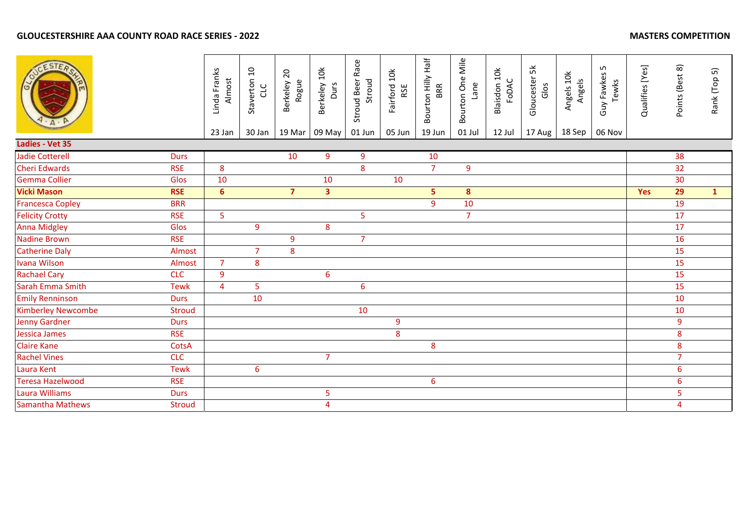|                                            | Linda Franks<br>Almost<br>23 Jan | Staverton 10<br>CLC<br>30 Jan | Berkeley 20<br>Rogue<br>19 Mar | Berkeley 10k<br>Durs<br>09 May | Stroud Beer Race<br>Stroud<br>01 Jun | Fairford 10k<br>RSE<br>05 Jun | Bourton Hilly Half<br>BRR<br>19 Jun | Bourton One Mile<br>Lane<br>01 Jul | Blaisdon 10k<br>FoDAC<br>12 Jul | Gloucester 5k<br>Glos<br>17 Aug | Angels 10k<br>Angels<br>18 Sep | Guy Fawkes 5<br>Tewks<br>06 Nov | Qualifies [Yes] | Points (Best 8)  | Rank (Top 5) |
|--------------------------------------------|----------------------------------|-------------------------------|--------------------------------|--------------------------------|--------------------------------------|-------------------------------|-------------------------------------|------------------------------------|---------------------------------|---------------------------------|--------------------------------|---------------------------------|-----------------|------------------|--------------|
| Ladies - Vet 35                            |                                  |                               |                                |                                |                                      |                               |                                     |                                    |                                 |                                 |                                |                                 |                 |                  |              |
| <b>Jadie Cotterell</b><br><b>Durs</b>      |                                  |                               | 10                             | 9                              | 9                                    |                               | 10                                  |                                    |                                 |                                 |                                |                                 |                 | 38               |              |
| <b>Cheri Edwards</b><br><b>RSE</b>         | 8                                |                               |                                |                                | 8                                    |                               | $\overline{7}$                      | $\boldsymbol{9}$                   |                                 |                                 |                                |                                 |                 | 32               |              |
| <b>Gemma Collier</b><br>Glos               | 10                               |                               |                                | 10                             |                                      | 10                            |                                     |                                    |                                 |                                 |                                |                                 |                 | 30               |              |
| <b>Vicki Mason</b><br><b>RSE</b>           | 6 <sup>1</sup>                   |                               | $\overline{7}$                 | $\overline{\mathbf{3}}$        |                                      |                               | 5                                   | 8                                  |                                 |                                 |                                |                                 | <b>Yes</b>      | 29               | $\mathbf{1}$ |
| <b>Francesca Copley</b><br><b>BRR</b>      |                                  |                               |                                |                                |                                      |                               | 9                                   | 10                                 |                                 |                                 |                                |                                 |                 | 19               |              |
| <b>Felicity Crotty</b><br><b>RSE</b>       | 5 <sub>o</sub>                   |                               |                                |                                | 5                                    |                               |                                     | $\overline{7}$                     |                                 |                                 |                                |                                 |                 | 17               |              |
| <b>Anna Midgley</b><br>Glos                |                                  | 9                             |                                | 8                              |                                      |                               |                                     |                                    |                                 |                                 |                                |                                 |                 | 17               |              |
| <b>Nadine Brown</b><br><b>RSE</b>          |                                  |                               | 9                              |                                | $\overline{7}$                       |                               |                                     |                                    |                                 |                                 |                                |                                 |                 | 16               |              |
| <b>Catherine Daly</b><br>Almost            |                                  | $\overline{7}$                | 8                              |                                |                                      |                               |                                     |                                    |                                 |                                 |                                |                                 |                 | 15               |              |
| <b>Ivana Wilson</b><br>Almost              | $\overline{7}$                   | 8                             |                                |                                |                                      |                               |                                     |                                    |                                 |                                 |                                |                                 |                 | 15               |              |
| <b>Rachael Cary</b><br><b>CLC</b>          | 9                                |                               |                                | $6\phantom{a}$                 |                                      |                               |                                     |                                    |                                 |                                 |                                |                                 |                 | 15               |              |
| Sarah Emma Smith<br><b>Tewk</b>            | $\overline{4}$                   | 5                             |                                |                                | $\boldsymbol{6}$                     |                               |                                     |                                    |                                 |                                 |                                |                                 |                 | 15               |              |
| <b>Emily Renninson</b><br><b>Durs</b>      |                                  | 10                            |                                |                                |                                      |                               |                                     |                                    |                                 |                                 |                                |                                 |                 | 10               |              |
| <b>Kimberley Newcombe</b><br><b>Stroud</b> |                                  |                               |                                |                                | 10                                   |                               |                                     |                                    |                                 |                                 |                                |                                 |                 | 10               |              |
| <b>Jenny Gardner</b><br><b>Durs</b>        |                                  |                               |                                |                                |                                      | 9                             |                                     |                                    |                                 |                                 |                                |                                 |                 | $\boldsymbol{9}$ |              |
| Jessica James<br><b>RSE</b>                |                                  |                               |                                |                                |                                      | 8                             |                                     |                                    |                                 |                                 |                                |                                 |                 | 8                |              |
| <b>Claire Kane</b><br>CotsA                |                                  |                               |                                |                                |                                      |                               | 8                                   |                                    |                                 |                                 |                                |                                 |                 | $\bf 8$          |              |
| <b>Rachel Vines</b><br><b>CLC</b>          |                                  |                               |                                | $\overline{7}$                 |                                      |                               |                                     |                                    |                                 |                                 |                                |                                 |                 | $\overline{7}$   |              |
| Laura Kent<br><b>Tewk</b>                  |                                  | 6                             |                                |                                |                                      |                               |                                     |                                    |                                 |                                 |                                |                                 |                 | $6\phantom{1}6$  |              |
| <b>Teresa Hazelwood</b><br><b>RSE</b>      |                                  |                               |                                |                                |                                      |                               | $6\overline{6}$                     |                                    |                                 |                                 |                                |                                 |                 | $6\phantom{1}6$  |              |
| <b>Laura Williams</b><br><b>Durs</b>       |                                  |                               |                                | 5                              |                                      |                               |                                     |                                    |                                 |                                 |                                |                                 |                 | 5                |              |
| <b>Samantha Mathews</b><br><b>Stroud</b>   |                                  |                               |                                | $\overline{4}$                 |                                      |                               |                                     |                                    |                                 |                                 |                                |                                 |                 | $\overline{4}$   |              |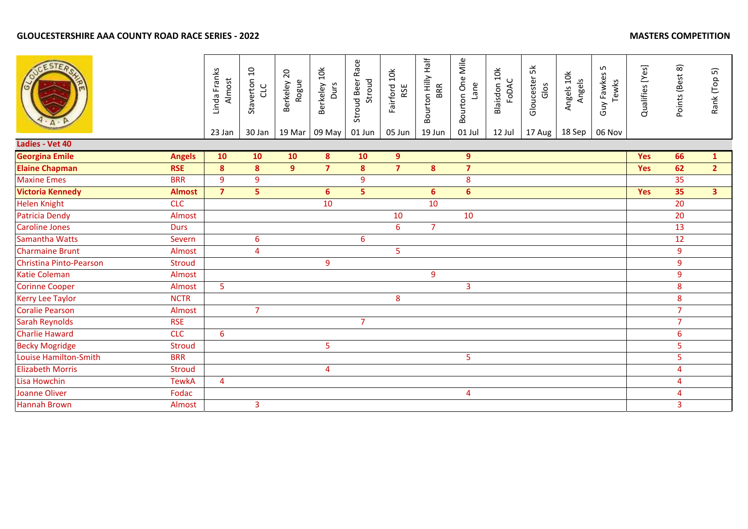|                         |               | Linda Franks<br>Almost<br>23 Jan | Staverton 10<br>CLC<br>30 Jan | Berkeley 20<br>Rogue<br>19 Mar | Berkeley 10k<br>Durs<br>09 May | Stroud Beer Race<br>Stroud<br>01 Jun | Fairford 10k<br>RSE<br>05 Jun | Bourton Hilly Half<br>BRR<br>19 Jun | Bourton One Mile<br>Lane<br>01 Jul | Blaisdon 10k<br>FoDAC<br>12 Jul | Gloucester 5k<br>Glos<br>17 Aug | Angels 10k<br>Angels<br>18 Sep | S<br>Guy Fawkes<br>Tewks<br>06 Nov | Qualifies [Yes] | Points (Best 8) | Rank (Top 5)   |
|-------------------------|---------------|----------------------------------|-------------------------------|--------------------------------|--------------------------------|--------------------------------------|-------------------------------|-------------------------------------|------------------------------------|---------------------------------|---------------------------------|--------------------------------|------------------------------------|-----------------|-----------------|----------------|
| Ladies - Vet 40         |               |                                  |                               |                                |                                |                                      |                               |                                     |                                    |                                 |                                 |                                |                                    |                 |                 |                |
| <b>Georgina Emile</b>   | <b>Angels</b> | 10                               | 10                            | 10                             | 8 <sup>°</sup>                 | 10                                   | 9 <sup>°</sup>                |                                     | 9                                  |                                 |                                 |                                |                                    | <b>Yes</b>      | 66              | $\mathbf{1}$   |
| <b>Elaine Chapman</b>   | <b>RSE</b>    | $\boldsymbol{8}$                 | 8                             | 9 <sup>°</sup>                 | $\overline{7}$                 | 8                                    | $\overline{7}$                | $\boldsymbol{8}$                    | $\overline{7}$                     |                                 |                                 |                                |                                    | Yes             | 62              | 2 <sup>1</sup> |
| <b>Maxine Emes</b>      | <b>BRR</b>    | 9                                | 9                             |                                |                                | 9                                    |                               |                                     | 8                                  |                                 |                                 |                                |                                    |                 | 35              |                |
| <b>Victoria Kennedy</b> | <b>Almost</b> | $\overline{7}$                   | 5                             |                                | $6\overline{6}$                | $\overline{5}$                       |                               | 6                                   | $6\overline{6}$                    |                                 |                                 |                                |                                    | Yes             | 35              | 3 <sup>7</sup> |
| <b>Helen Knight</b>     | <b>CLC</b>    |                                  |                               |                                | 10                             |                                      |                               | 10                                  |                                    |                                 |                                 |                                |                                    |                 | 20              |                |
| <b>Patricia Dendy</b>   | Almost        |                                  |                               |                                |                                |                                      | 10                            |                                     | 10                                 |                                 |                                 |                                |                                    |                 | 20              |                |
| <b>Caroline Jones</b>   | <b>Durs</b>   |                                  |                               |                                |                                |                                      | 6                             | $\overline{7}$                      |                                    |                                 |                                 |                                |                                    |                 | 13              |                |
| <b>Samantha Watts</b>   | Severn        |                                  | 6                             |                                |                                | $6\overline{6}$                      |                               |                                     |                                    |                                 |                                 |                                |                                    |                 | 12              |                |
| <b>Charmaine Brunt</b>  | Almost        |                                  | 4                             |                                |                                |                                      | 5                             |                                     |                                    |                                 |                                 |                                |                                    |                 | 9               |                |
| Christina Pinto-Pearson | <b>Stroud</b> |                                  |                               |                                | $\boldsymbol{9}$               |                                      |                               |                                     |                                    |                                 |                                 |                                |                                    |                 | 9               |                |
| <b>Katie Coleman</b>    | Almost        |                                  |                               |                                |                                |                                      |                               | 9                                   |                                    |                                 |                                 |                                |                                    |                 | 9               |                |
| <b>Corinne Cooper</b>   | Almost        | 5                                |                               |                                |                                |                                      |                               |                                     | 3                                  |                                 |                                 |                                |                                    |                 | 8               |                |
| <b>Kerry Lee Taylor</b> | <b>NCTR</b>   |                                  |                               |                                |                                |                                      | 8                             |                                     |                                    |                                 |                                 |                                |                                    |                 | 8               |                |
| <b>Coralie Pearson</b>  | Almost        |                                  | $\overline{7}$                |                                |                                |                                      |                               |                                     |                                    |                                 |                                 |                                |                                    |                 | $\overline{7}$  |                |
| Sarah Reynolds          | <b>RSE</b>    |                                  |                               |                                |                                | $\overline{7}$                       |                               |                                     |                                    |                                 |                                 |                                |                                    |                 | $\overline{7}$  |                |
| <b>Charlie Haward</b>   | <b>CLC</b>    | $6\overline{6}$                  |                               |                                |                                |                                      |                               |                                     |                                    |                                 |                                 |                                |                                    |                 | 6               |                |
| <b>Becky Mogridge</b>   | <b>Stroud</b> |                                  |                               |                                | 5                              |                                      |                               |                                     |                                    |                                 |                                 |                                |                                    |                 | 5               |                |
| Louise Hamilton-Smith   | <b>BRR</b>    |                                  |                               |                                |                                |                                      |                               |                                     | 5                                  |                                 |                                 |                                |                                    |                 | 5               |                |
| <b>Elizabeth Morris</b> | <b>Stroud</b> |                                  |                               |                                | 4                              |                                      |                               |                                     |                                    |                                 |                                 |                                |                                    |                 | 4               |                |
| Lisa Howchin            | <b>TewkA</b>  | $\overline{4}$                   |                               |                                |                                |                                      |                               |                                     |                                    |                                 |                                 |                                |                                    |                 | 4               |                |
| <b>Joanne Oliver</b>    | Fodac         |                                  |                               |                                |                                |                                      |                               |                                     | $\overline{4}$                     |                                 |                                 |                                |                                    |                 | 4               |                |
| <b>Hannah Brown</b>     | Almost        |                                  | 3                             |                                |                                |                                      |                               |                                     |                                    |                                 |                                 |                                |                                    |                 | 3               |                |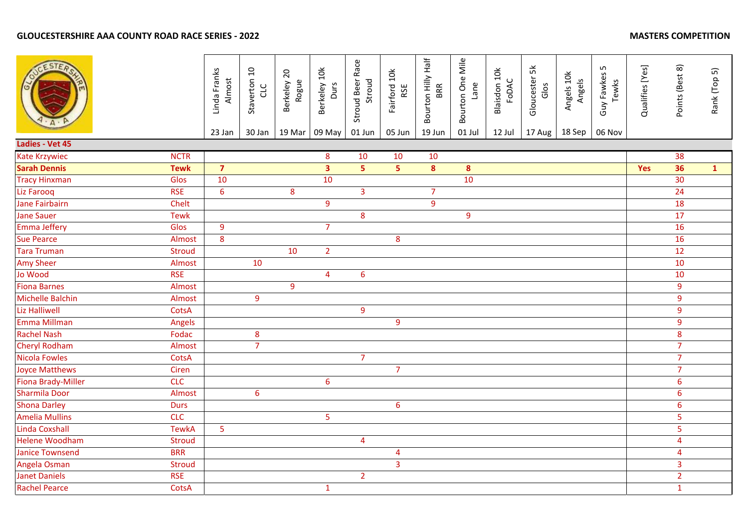|                           |               | Linda Franks<br>Almost<br>23 Jan | Staverton 10<br>CLC<br>30 Jan | Berkeley 20<br>Rogue<br>19 Mar | Berkeley 10k<br>Durs<br>09 May | Stroud Beer Race<br>Stroud<br>01 Jun | Fairford 10k<br>RSE<br>05 Jun | Bourton Hilly Half<br><b>BRR</b><br>19 Jun | Bourton One Mile<br>Lane<br>01 Jul | Blaisdon 10k<br>FODAC<br>12 Jul | Gloucester 5k<br>Glos<br>17 Aug | Angels 10k<br>Angels<br>18 Sep | Guy Fawkes 5<br>Tewks<br>06 Nov | Qualifies [Yes] | Points (Best 8) | Rank (Top 5) |
|---------------------------|---------------|----------------------------------|-------------------------------|--------------------------------|--------------------------------|--------------------------------------|-------------------------------|--------------------------------------------|------------------------------------|---------------------------------|---------------------------------|--------------------------------|---------------------------------|-----------------|-----------------|--------------|
| Ladies - Vet 45           |               |                                  |                               |                                |                                |                                      |                               |                                            |                                    |                                 |                                 |                                |                                 |                 |                 |              |
| Kate Krzywiec             | <b>NCTR</b>   |                                  |                               |                                | 8                              | 10                                   | 10                            | 10                                         |                                    |                                 |                                 |                                |                                 |                 | 38              |              |
| <b>Sarah Dennis</b>       | <b>Tewk</b>   | $\overline{7}$                   |                               |                                | 3 <sup>7</sup>                 | 5 <sup>7</sup>                       | 5 <sup>1</sup>                | 8                                          | 8                                  |                                 |                                 |                                |                                 | Yes             | 36              | $\mathbf{1}$ |
| <b>Tracy Hinxman</b>      | Glos          | 10                               |                               |                                | 10                             |                                      |                               |                                            | 10                                 |                                 |                                 |                                |                                 |                 | 30              |              |
| Liz Farooq                | <b>RSE</b>    | $6\phantom{1}6$                  |                               | 8                              |                                | $\overline{3}$                       |                               | $\overline{7}$                             |                                    |                                 |                                 |                                |                                 |                 | 24              |              |
| <b>Jane Fairbairn</b>     | Chelt         |                                  |                               |                                | 9                              |                                      |                               | 9                                          |                                    |                                 |                                 |                                |                                 |                 | 18              |              |
| <b>Jane Sauer</b>         | <b>Tewk</b>   |                                  |                               |                                |                                | $\overline{8}$                       |                               |                                            | 9                                  |                                 |                                 |                                |                                 |                 | 17              |              |
| <b>Emma Jeffery</b>       | Glos          | 9                                |                               |                                | $\overline{7}$                 |                                      |                               |                                            |                                    |                                 |                                 |                                |                                 |                 | 16              |              |
| <b>Sue Pearce</b>         | Almost        | 8                                |                               |                                |                                |                                      | $\boldsymbol{8}$              |                                            |                                    |                                 |                                 |                                |                                 |                 | 16              |              |
| <b>Tara Truman</b>        | <b>Stroud</b> |                                  |                               | 10                             | $\overline{2}$                 |                                      |                               |                                            |                                    |                                 |                                 |                                |                                 |                 | 12              |              |
| <b>Amy Sheer</b>          | Almost        |                                  | 10                            |                                |                                |                                      |                               |                                            |                                    |                                 |                                 |                                |                                 |                 | 10              |              |
| Jo Wood                   | <b>RSE</b>    |                                  |                               |                                | $\overline{4}$                 | 6                                    |                               |                                            |                                    |                                 |                                 |                                |                                 |                 | 10              |              |
| <b>Fiona Barnes</b>       | Almost        |                                  |                               | $\overline{9}$                 |                                |                                      |                               |                                            |                                    |                                 |                                 |                                |                                 |                 | 9               |              |
| Michelle Balchin          | Almost        |                                  | 9                             |                                |                                |                                      |                               |                                            |                                    |                                 |                                 |                                |                                 |                 | 9               |              |
| <b>Liz Halliwell</b>      | CotsA         |                                  |                               |                                |                                | 9                                    |                               |                                            |                                    |                                 |                                 |                                |                                 |                 | 9               |              |
| Emma Millman              | Angels        |                                  |                               |                                |                                |                                      | $\overline{9}$                |                                            |                                    |                                 |                                 |                                |                                 |                 | 9               |              |
| <b>Rachel Nash</b>        | Fodac         |                                  | 8                             |                                |                                |                                      |                               |                                            |                                    |                                 |                                 |                                |                                 |                 | 8               |              |
| Cheryl Rodham             | Almost        |                                  | $\overline{7}$                |                                |                                |                                      |                               |                                            |                                    |                                 |                                 |                                |                                 |                 | $\overline{7}$  |              |
| <b>Nicola Fowles</b>      | CotsA         |                                  |                               |                                |                                | $\overline{7}$                       |                               |                                            |                                    |                                 |                                 |                                |                                 |                 | $\overline{7}$  |              |
| <b>Joyce Matthews</b>     | Ciren         |                                  |                               |                                |                                |                                      | $\overline{7}$                |                                            |                                    |                                 |                                 |                                |                                 |                 | $\overline{7}$  |              |
| <b>Fiona Brady-Miller</b> | <b>CLC</b>    |                                  |                               |                                | $\boldsymbol{6}$               |                                      |                               |                                            |                                    |                                 |                                 |                                |                                 |                 | 6               |              |
| <b>Sharmila Door</b>      | Almost        |                                  | 6                             |                                |                                |                                      |                               |                                            |                                    |                                 |                                 |                                |                                 |                 | 6               |              |
| <b>Shona Darley</b>       | <b>Durs</b>   |                                  |                               |                                |                                |                                      | $\boldsymbol{6}$              |                                            |                                    |                                 |                                 |                                |                                 |                 | 6               |              |
| <b>Amelia Mullins</b>     | <b>CLC</b>    |                                  |                               |                                | 5                              |                                      |                               |                                            |                                    |                                 |                                 |                                |                                 |                 | 5               |              |
| <b>Linda Coxshall</b>     | <b>TewkA</b>  | 5                                |                               |                                |                                |                                      |                               |                                            |                                    |                                 |                                 |                                |                                 |                 | 5               |              |
| <b>Helene Woodham</b>     | <b>Stroud</b> |                                  |                               |                                |                                | 4                                    |                               |                                            |                                    |                                 |                                 |                                |                                 |                 | $\overline{4}$  |              |
| <b>Janice Townsend</b>    | <b>BRR</b>    |                                  |                               |                                |                                |                                      | $\overline{4}$                |                                            |                                    |                                 |                                 |                                |                                 |                 | $\overline{4}$  |              |
| Angela Osman              | <b>Stroud</b> |                                  |                               |                                |                                |                                      | $\overline{3}$                |                                            |                                    |                                 |                                 |                                |                                 |                 | $\overline{3}$  |              |
| <b>Janet Daniels</b>      | <b>RSE</b>    |                                  |                               |                                |                                | $\overline{2}$                       |                               |                                            |                                    |                                 |                                 |                                |                                 |                 | $\overline{2}$  |              |
| <b>Rachel Pearce</b>      | CotsA         |                                  |                               |                                | $\mathbf{1}$                   |                                      |                               |                                            |                                    |                                 |                                 |                                |                                 |                 | $\mathbf{1}$    |              |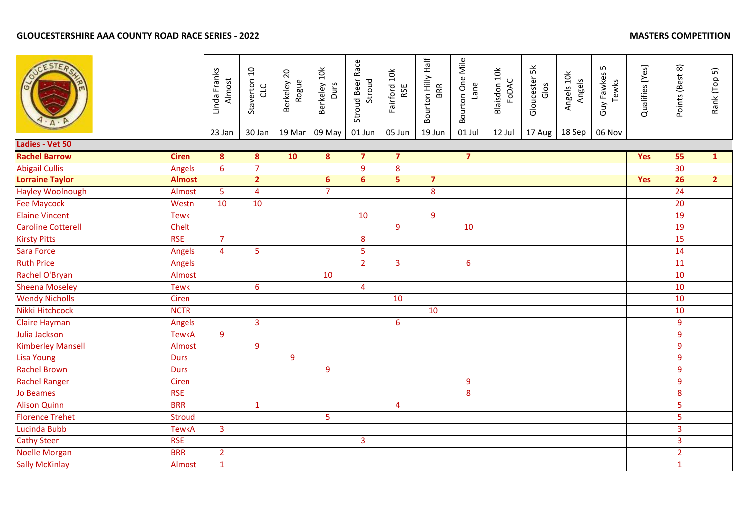# **GLOUCESTERSHIRE AAA COUNTY ROAD RACE SERIES - 2022**

| <b>MASTERS COMPETITION</b> |  |  |
|----------------------------|--|--|
|----------------------------|--|--|

|                           |               | Linda Franks<br>Almost<br>23 Jan | Staverton 10<br>CLC<br>30 Jan | Berkeley 20<br>Rogue<br>19 Mar | Berkeley 10k<br>Durs<br>09 May | Stroud Beer Race<br>Stroud<br>01 Jun | Fairford 10k<br>RSE<br>05 Jun | Bourton Hilly Half<br>BRR<br>19 Jun | Bourton One Mile<br>Lane<br>01 Jul | Blaisdon 10k<br>FODAC<br>12 Jul | Gloucester 5k<br>Glos<br>17 Aug | Angels 10k<br>Angels<br>18 Sep | Guy Fawkes 5<br>Tewks<br>06 Nov | Qualifies [Yes] | Points (Best 8) | Rank (Top 5)   |
|---------------------------|---------------|----------------------------------|-------------------------------|--------------------------------|--------------------------------|--------------------------------------|-------------------------------|-------------------------------------|------------------------------------|---------------------------------|---------------------------------|--------------------------------|---------------------------------|-----------------|-----------------|----------------|
| Ladies - Vet 50           |               |                                  |                               |                                |                                |                                      |                               |                                     |                                    |                                 |                                 |                                |                                 |                 |                 |                |
| <b>Rachel Barrow</b>      | <b>Ciren</b>  | $\boldsymbol{8}$                 | 8                             | 10                             | $\bullet$                      | $\overline{7}$                       | $\overline{\mathbf{z}}$       |                                     | $\overline{7}$                     |                                 |                                 |                                |                                 | Yes             | 55              | $\mathbf{1}$   |
| <b>Abigail Cullis</b>     | Angels        | $6\overline{6}$                  | $\overline{7}$                |                                |                                | 9                                    | 8                             |                                     |                                    |                                 |                                 |                                |                                 |                 | 30 <sub>o</sub> |                |
| <b>Lorraine Taylor</b>    | <b>Almost</b> |                                  | 2 <sup>1</sup>                |                                | $6\phantom{a}$                 | $6 \overline{6}$                     | 5 <sup>1</sup>                | $\overline{7}$                      |                                    |                                 |                                 |                                |                                 | <b>Yes</b>      | $\overline{26}$ | 2 <sup>7</sup> |
| <b>Hayley Woolnough</b>   | Almost        | $\overline{5}$                   | $\overline{4}$                |                                | $\overline{7}$                 |                                      |                               | 8                                   |                                    |                                 |                                 |                                |                                 |                 | 24              |                |
| <b>Fee Maycock</b>        | Westn         | 10                               | 10                            |                                |                                |                                      |                               |                                     |                                    |                                 |                                 |                                |                                 |                 | 20              |                |
| <b>Elaine Vincent</b>     | <b>Tewk</b>   |                                  |                               |                                |                                | 10                                   |                               | $\overline{9}$                      |                                    |                                 |                                 |                                |                                 |                 | 19              |                |
| <b>Caroline Cotterell</b> | Chelt         |                                  |                               |                                |                                |                                      | $\overline{9}$                |                                     | 10                                 |                                 |                                 |                                |                                 |                 | 19              |                |
| <b>Kirsty Pitts</b>       | <b>RSE</b>    | $\overline{7}$                   |                               |                                |                                | 8                                    |                               |                                     |                                    |                                 |                                 |                                |                                 |                 | 15              |                |
| <b>Sara Force</b>         | Angels        | $\overline{4}$                   | 5                             |                                |                                | 5                                    |                               |                                     |                                    |                                 |                                 |                                |                                 |                 | 14              |                |
| <b>Ruth Price</b>         | Angels        |                                  |                               |                                |                                | $\overline{2}$                       | $\overline{3}$                |                                     | 6                                  |                                 |                                 |                                |                                 |                 | 11              |                |
| Rachel O'Bryan            | Almost        |                                  |                               |                                | 10                             |                                      |                               |                                     |                                    |                                 |                                 |                                |                                 |                 | 10              |                |
| <b>Sheena Moseley</b>     | <b>Tewk</b>   |                                  | $\boldsymbol{6}$              |                                |                                | $\overline{\mathbf{4}}$              |                               |                                     |                                    |                                 |                                 |                                |                                 |                 | 10              |                |
| <b>Wendy Nicholls</b>     | Ciren         |                                  |                               |                                |                                |                                      | 10                            |                                     |                                    |                                 |                                 |                                |                                 |                 | 10              |                |
| Nikki Hitchcock           | <b>NCTR</b>   |                                  |                               |                                |                                |                                      |                               | 10                                  |                                    |                                 |                                 |                                |                                 |                 | 10              |                |
| <b>Claire Hayman</b>      | Angels        |                                  | $\overline{3}$                |                                |                                |                                      | 6                             |                                     |                                    |                                 |                                 |                                |                                 |                 | 9               |                |
| <b>Julia Jackson</b>      | <b>TewkA</b>  | 9                                |                               |                                |                                |                                      |                               |                                     |                                    |                                 |                                 |                                |                                 |                 | 9               |                |
| <b>Kimberley Mansell</b>  | Almost        |                                  | 9                             |                                |                                |                                      |                               |                                     |                                    |                                 |                                 |                                |                                 |                 | 9               |                |
| <b>Lisa Young</b>         | <b>Durs</b>   |                                  |                               | 9                              |                                |                                      |                               |                                     |                                    |                                 |                                 |                                |                                 |                 | $\overline{9}$  |                |
| <b>Rachel Brown</b>       | <b>Durs</b>   |                                  |                               |                                | 9                              |                                      |                               |                                     |                                    |                                 |                                 |                                |                                 |                 | 9               |                |
| <b>Rachel Ranger</b>      | Ciren         |                                  |                               |                                |                                |                                      |                               |                                     | 9                                  |                                 |                                 |                                |                                 |                 | 9               |                |
| <b>Jo Beames</b>          | <b>RSE</b>    |                                  |                               |                                |                                |                                      |                               |                                     | 8                                  |                                 |                                 |                                |                                 |                 | 8               |                |
| <b>Alison Quinn</b>       | <b>BRR</b>    |                                  | $\mathbf{1}$                  |                                |                                |                                      | 4                             |                                     |                                    |                                 |                                 |                                |                                 |                 | 5               |                |
| <b>Florence Trehet</b>    | <b>Stroud</b> |                                  |                               |                                | $\overline{\mathbf{5}}$        |                                      |                               |                                     |                                    |                                 |                                 |                                |                                 |                 | 5               |                |
| Lucinda Bubb              | <b>TewkA</b>  | $\overline{3}$                   |                               |                                |                                |                                      |                               |                                     |                                    |                                 |                                 |                                |                                 |                 | $\overline{3}$  |                |
| <b>Cathy Steer</b>        | <b>RSE</b>    |                                  |                               |                                |                                | $\overline{3}$                       |                               |                                     |                                    |                                 |                                 |                                |                                 |                 | $\overline{3}$  |                |
| <b>Noelle Morgan</b>      | <b>BRR</b>    | $\overline{2}$                   |                               |                                |                                |                                      |                               |                                     |                                    |                                 |                                 |                                |                                 |                 | $\overline{2}$  |                |
| <b>Sally McKinlay</b>     | Almost        | $\mathbf 1$                      |                               |                                |                                |                                      |                               |                                     |                                    |                                 |                                 |                                |                                 |                 | $\mathbf{1}$    |                |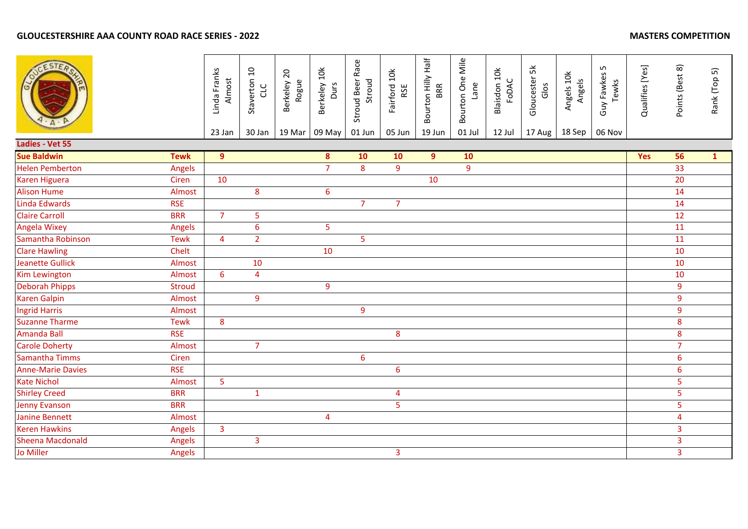|                          |               | Linda Franks<br>Almost<br>23 Jan | Staverton 10<br>CLC<br>30 Jan | Berkeley 20<br>Rogue<br>19 Mar | Berkeley 10k<br>Durs<br>09 May | Stroud Beer Race<br>Stroud<br>01 Jun | Fairford 10k<br>RSE<br>05 Jun | Bourton Hilly Half<br>BRR<br>19 Jun | Bourton One Mile<br>Lane<br>01 Jul | Blaisdon 10k<br>FODAC<br>12 Jul | Gloucester 5k<br>Glos<br>17 Aug | Angels 10k<br>Angels<br>18 Sep | S<br>Guy Fawkes<br>Tewks<br>06 Nov | Qualifies [Yes] | Points (Best 8)         | Rank (Top 5) |
|--------------------------|---------------|----------------------------------|-------------------------------|--------------------------------|--------------------------------|--------------------------------------|-------------------------------|-------------------------------------|------------------------------------|---------------------------------|---------------------------------|--------------------------------|------------------------------------|-----------------|-------------------------|--------------|
| Ladies - Vet 55          |               |                                  |                               |                                |                                |                                      |                               |                                     |                                    |                                 |                                 |                                |                                    |                 |                         |              |
| <b>Sue Baldwin</b>       | <b>Tewk</b>   | $\overline{9}$                   |                               |                                | $\bullet$                      | 10                                   | 10                            | $\overline{9}$                      | 10                                 |                                 |                                 |                                |                                    | Yes             | 56                      | $\mathbf{1}$ |
| <b>Helen Pemberton</b>   | Angels        |                                  |                               |                                | $\overline{7}$                 | 8                                    | $\overline{9}$                |                                     | 9                                  |                                 |                                 |                                |                                    |                 | 33                      |              |
| <b>Karen Higuera</b>     | Ciren         | 10                               |                               |                                |                                |                                      |                               | 10                                  |                                    |                                 |                                 |                                |                                    |                 | 20                      |              |
| <b>Alison Hume</b>       | Almost        |                                  | 8                             |                                | $\boldsymbol{6}$               |                                      |                               |                                     |                                    |                                 |                                 |                                |                                    |                 | 14                      |              |
| Linda Edwards            | <b>RSE</b>    |                                  |                               |                                |                                | $\overline{7}$                       | $\overline{7}$                |                                     |                                    |                                 |                                 |                                |                                    |                 | 14                      |              |
| <b>Claire Carroll</b>    | <b>BRR</b>    | $\overline{7}$                   | 5                             |                                |                                |                                      |                               |                                     |                                    |                                 |                                 |                                |                                    |                 | 12                      |              |
| <b>Angela Wixey</b>      | Angels        |                                  | $\boldsymbol{6}$              |                                | 5                              |                                      |                               |                                     |                                    |                                 |                                 |                                |                                    |                 | 11                      |              |
| Samantha Robinson        | <b>Tewk</b>   | 4                                | $\overline{2}$                |                                |                                | 5                                    |                               |                                     |                                    |                                 |                                 |                                |                                    |                 | 11                      |              |
| <b>Clare Hawling</b>     | Chelt         |                                  |                               |                                | 10                             |                                      |                               |                                     |                                    |                                 |                                 |                                |                                    |                 | 10                      |              |
| <b>Jeanette Gullick</b>  | Almost        |                                  | 10                            |                                |                                |                                      |                               |                                     |                                    |                                 |                                 |                                |                                    |                 | 10                      |              |
| <b>Kim Lewington</b>     | Almost        | 6                                | 4                             |                                |                                |                                      |                               |                                     |                                    |                                 |                                 |                                |                                    |                 | 10                      |              |
| <b>Deborah Phipps</b>    | <b>Stroud</b> |                                  |                               |                                | 9                              |                                      |                               |                                     |                                    |                                 |                                 |                                |                                    |                 | 9                       |              |
| <b>Karen Galpin</b>      | Almost        |                                  | 9                             |                                |                                |                                      |                               |                                     |                                    |                                 |                                 |                                |                                    |                 | 9                       |              |
| <b>Ingrid Harris</b>     | Almost        |                                  |                               |                                |                                | 9                                    |                               |                                     |                                    |                                 |                                 |                                |                                    |                 | 9                       |              |
| <b>Suzanne Tharme</b>    | <b>Tewk</b>   | 8                                |                               |                                |                                |                                      |                               |                                     |                                    |                                 |                                 |                                |                                    |                 | 8                       |              |
| <b>Amanda Ball</b>       | <b>RSE</b>    |                                  |                               |                                |                                |                                      | 8                             |                                     |                                    |                                 |                                 |                                |                                    |                 | 8                       |              |
| <b>Carole Doherty</b>    | Almost        |                                  | $\overline{7}$                |                                |                                |                                      |                               |                                     |                                    |                                 |                                 |                                |                                    |                 | $\overline{7}$          |              |
| <b>Samantha Timms</b>    | Ciren         |                                  |                               |                                |                                | $6\phantom{1}6$                      |                               |                                     |                                    |                                 |                                 |                                |                                    |                 | $\boldsymbol{6}$        |              |
| <b>Anne-Marie Davies</b> | <b>RSE</b>    |                                  |                               |                                |                                |                                      | $6\phantom{a}$                |                                     |                                    |                                 |                                 |                                |                                    |                 | $\boldsymbol{6}$        |              |
| <b>Kate Nichol</b>       | Almost        | $\overline{5}$                   |                               |                                |                                |                                      |                               |                                     |                                    |                                 |                                 |                                |                                    |                 | 5                       |              |
| <b>Shirley Creed</b>     | <b>BRR</b>    |                                  | $\mathbf{1}$                  |                                |                                |                                      | 4                             |                                     |                                    |                                 |                                 |                                |                                    |                 | 5                       |              |
| <b>Jenny Evanson</b>     | <b>BRR</b>    |                                  |                               |                                |                                |                                      | 5                             |                                     |                                    |                                 |                                 |                                |                                    |                 | 5                       |              |
| <b>Janine Bennett</b>    | Almost        |                                  |                               |                                | $\overline{\mathbf{4}}$        |                                      |                               |                                     |                                    |                                 |                                 |                                |                                    |                 | $\overline{4}$          |              |
| <b>Keren Hawkins</b>     | Angels        | $\overline{\mathbf{3}}$          |                               |                                |                                |                                      |                               |                                     |                                    |                                 |                                 |                                |                                    |                 | 3                       |              |
| <b>Sheena Macdonald</b>  | Angels        |                                  | $\overline{3}$                |                                |                                |                                      |                               |                                     |                                    |                                 |                                 |                                |                                    |                 | $\overline{\mathbf{3}}$ |              |
| Jo Miller                | Angels        |                                  |                               |                                |                                |                                      | $\overline{3}$                |                                     |                                    |                                 |                                 |                                |                                    |                 | 3                       |              |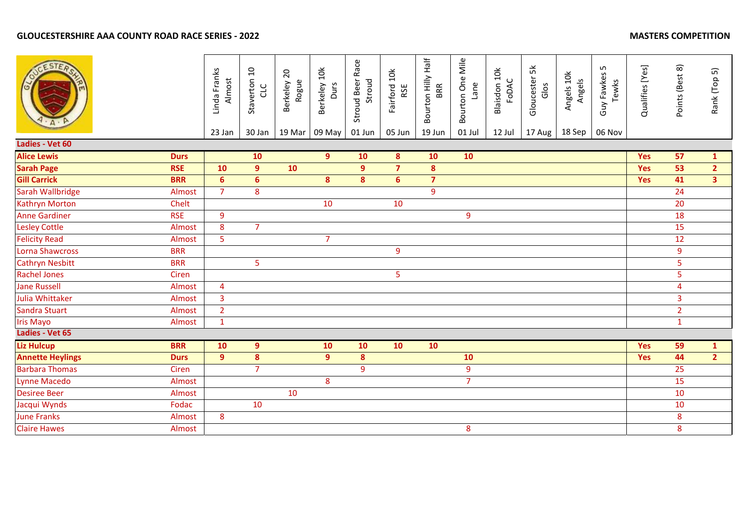|                         |             | Linda Franks<br>Almost<br>23 Jan | Staverton 10<br>CLC<br>30 Jan | Berkeley 20<br>Rogue<br>19 Mar | Berkeley 10k<br>Durs<br>09 May | Stroud Beer Race<br>Stroud<br>01 Jun | Fairford 10k<br>RSE<br>05 Jun | Bourton Hilly Half<br><b>BRR</b><br>19 Jun | Bourton One Mile<br>Lane<br>01 Jul | Blaisdon 10k<br>FODAC<br>12 Jul | Gloucester 5k<br>Glos<br>17 Aug | Angels 10k<br>Angels<br>18 Sep | Guy Fawkes 5<br>Tewks<br>06 Nov | Qualifies [Yes] | Points (Best 8)         | Rank (Top 5)   |
|-------------------------|-------------|----------------------------------|-------------------------------|--------------------------------|--------------------------------|--------------------------------------|-------------------------------|--------------------------------------------|------------------------------------|---------------------------------|---------------------------------|--------------------------------|---------------------------------|-----------------|-------------------------|----------------|
| Ladies - Vet 60         |             |                                  |                               |                                |                                |                                      |                               |                                            |                                    |                                 |                                 |                                |                                 |                 |                         |                |
| <b>Alice Lewis</b>      | <b>Durs</b> |                                  | 10                            |                                | 9 <sup>°</sup>                 | 10                                   | 8                             | 10                                         | 10                                 |                                 |                                 |                                |                                 | <b>Yes</b>      | 57                      | $\mathbf{1}$   |
| <b>Sarah Page</b>       | <b>RSE</b>  | 10                               | $\overline{9}$                | 10                             |                                | 9                                    | $\overline{7}$                | $\bf{8}$                                   |                                    |                                 |                                 |                                |                                 | Yes             | 53                      | 2 <sup>1</sup> |
| <b>Gill Carrick</b>     | <b>BRR</b>  | $6\phantom{1}$                   | $6\phantom{a}$                |                                | $\boldsymbol{8}$               | 8                                    | 6 <sup>1</sup>                | $\overline{7}$                             |                                    |                                 |                                 |                                |                                 | <b>Yes</b>      | 41                      | 3 <sup>1</sup> |
| Sarah Wallbridge        | Almost      | $\overline{7}$                   | 8                             |                                |                                |                                      |                               | 9                                          |                                    |                                 |                                 |                                |                                 |                 | 24                      |                |
| <b>Kathryn Morton</b>   | Chelt       |                                  |                               |                                | 10                             |                                      | 10                            |                                            |                                    |                                 |                                 |                                |                                 |                 | 20                      |                |
| <b>Anne Gardiner</b>    | <b>RSE</b>  | $\overline{9}$                   |                               |                                |                                |                                      |                               |                                            | 9                                  |                                 |                                 |                                |                                 |                 | 18                      |                |
| <b>Lesley Cottle</b>    | Almost      | 8                                | $\overline{7}$                |                                |                                |                                      |                               |                                            |                                    |                                 |                                 |                                |                                 |                 | 15                      |                |
| <b>Felicity Read</b>    | Almost      | $\overline{5}$                   |                               |                                | $\overline{7}$                 |                                      |                               |                                            |                                    |                                 |                                 |                                |                                 |                 | 12                      |                |
| Lorna Shawcross         | <b>BRR</b>  |                                  |                               |                                |                                |                                      | 9                             |                                            |                                    |                                 |                                 |                                |                                 |                 | 9                       |                |
| <b>Cathryn Nesbitt</b>  | <b>BRR</b>  |                                  | 5                             |                                |                                |                                      |                               |                                            |                                    |                                 |                                 |                                |                                 |                 | 5                       |                |
| <b>Rachel Jones</b>     | Ciren       |                                  |                               |                                |                                |                                      | 5                             |                                            |                                    |                                 |                                 |                                |                                 |                 | 5                       |                |
| <b>Jane Russell</b>     | Almost      | $\overline{4}$                   |                               |                                |                                |                                      |                               |                                            |                                    |                                 |                                 |                                |                                 |                 | $\overline{\mathbf{4}}$ |                |
| Julia Whittaker         | Almost      | $\overline{3}$                   |                               |                                |                                |                                      |                               |                                            |                                    |                                 |                                 |                                |                                 |                 | 3                       |                |
| Sandra Stuart           | Almost      | $\overline{2}$                   |                               |                                |                                |                                      |                               |                                            |                                    |                                 |                                 |                                |                                 |                 | $\overline{2}$          |                |
| <b>Iris Mayo</b>        | Almost      | $\mathbf{1}$                     |                               |                                |                                |                                      |                               |                                            |                                    |                                 |                                 |                                |                                 |                 | $\mathbf{1}$            |                |
| Ladies - Vet 65         |             |                                  |                               |                                |                                |                                      |                               |                                            |                                    |                                 |                                 |                                |                                 |                 |                         |                |
| <b>Liz Hulcup</b>       | <b>BRR</b>  | 10                               | $\overline{9}$                |                                | 10                             | 10                                   | 10                            | 10                                         |                                    |                                 |                                 |                                |                                 | <b>Yes</b>      | 59                      | $\mathbf{1}$   |
| <b>Annette Heylings</b> | <b>Durs</b> | 9                                | 8                             |                                | 9                              | 8                                    |                               |                                            | 10                                 |                                 |                                 |                                |                                 | <b>Yes</b>      | 44                      | $\overline{2}$ |
| <b>Barbara Thomas</b>   | Ciren       |                                  | $\overline{7}$                |                                |                                | 9                                    |                               |                                            | 9                                  |                                 |                                 |                                |                                 |                 | 25                      |                |
| Lynne Macedo            | Almost      |                                  |                               |                                | 8                              |                                      |                               |                                            | $\overline{7}$                     |                                 |                                 |                                |                                 |                 | 15                      |                |
| <b>Desiree Beer</b>     | Almost      |                                  |                               | 10                             |                                |                                      |                               |                                            |                                    |                                 |                                 |                                |                                 |                 | 10                      |                |
| Jacqui Wynds            | Fodac       |                                  | 10                            |                                |                                |                                      |                               |                                            |                                    |                                 |                                 |                                |                                 |                 | 10                      |                |
| <b>June Franks</b>      | Almost      | 8                                |                               |                                |                                |                                      |                               |                                            |                                    |                                 |                                 |                                |                                 |                 | 8                       |                |
| <b>Claire Hawes</b>     | Almost      |                                  |                               |                                |                                |                                      |                               |                                            | 8                                  |                                 |                                 |                                |                                 |                 | 8                       |                |